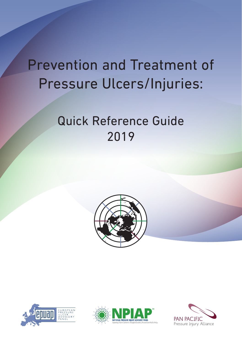# Prevention and Treatment of Pressure Ulcers/Injuries:

# Quick Reference Guide 2019







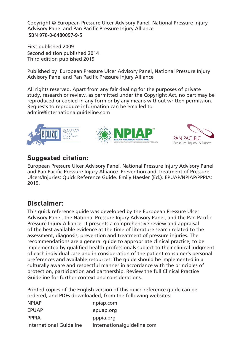Copyright © European Pressure Ulcer Advisory Panel, National Pressure Injury Advisory Panel and Pan Pacific Pressure Injury Alliance ISBN 978-0-6480097-9-5

First published 2009 Second edition published 2014 Third edition published 2019

Published by European Pressure Ulcer Advisory Panel, National Pressure Injury Advisory Panel and Pan Pacific Pressure Injury Alliance

All rights reserved. Apart from any fair dealing for the purposes of private study, research or review, as permitted under the Copyright Act, no part may be reproduced or copied in any form or by any means without written permission. Requests to reproduce information can be emailed to admin@internationalguideline.com



#### **Suggested citation:**

European Pressure Ulcer Advisory Panel, National Pressure Injury Advisory Panel and Pan Pacific Pressure Injury Alliance. Prevention and Treatment of Pressure Ulcers/Injuries: Quick Reference Guide. Emily Haesler (Ed.). EPUAP/NPIAP/PPPIA: 2019.

#### **Disclaimer:**

This quick reference guide was developed by the European Pressure Ulcer Advisory Panel, the National Pressure Injury Advisory Panel, and the Pan Pacific Pressure Injury Alliance. It presents a comprehensive review and appraisal of the best available evidence at the time of literature search related to the assessment, diagnosis, prevention and treatment of pressure injuries. The recommendations are a general guide to appropriate clinical practice, to be implemented by qualified health professionals subject to their clinical judgment of each individual case and in consideration of the patient consumer's personal preferences and available resources. The guide should be implemented in a culturally aware and respectful manner in accordance with the principles of protection, participation and partnership. Review the full Clinical Practice Guideline for further context and considerations.

Printed copies of the English version of this quick reference guide can be ordered, and PDFs downloaded, from the following websites:

| <b>NPIAP</b>            | npiap.com                  |
|-------------------------|----------------------------|
| EPUAP                   | epuap.org                  |
| <b>PPPIA</b>            | pppia.org                  |
| International Guideline | internationalquideline.com |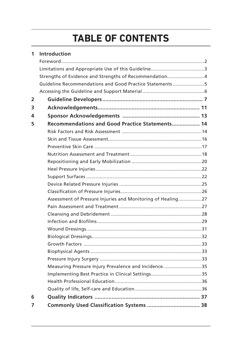# **TABLE OF CONTENTS**

| 1 | <b>Introduction</b>                                         |  |
|---|-------------------------------------------------------------|--|
|   |                                                             |  |
|   |                                                             |  |
|   | Strengths of Evidence and Strengths of Recommendation4      |  |
|   | Guideline Recommendations and Good Practice Statements 5    |  |
|   |                                                             |  |
| 2 |                                                             |  |
| 3 |                                                             |  |
| 4 |                                                             |  |
| 5 | Recommendations and Good Practice Statements 14             |  |
|   |                                                             |  |
|   |                                                             |  |
|   |                                                             |  |
|   |                                                             |  |
|   |                                                             |  |
|   |                                                             |  |
|   |                                                             |  |
|   |                                                             |  |
|   |                                                             |  |
|   | Assessment of Pressure Injuries and Monitoring of Healing27 |  |
|   |                                                             |  |
|   |                                                             |  |
|   |                                                             |  |
|   |                                                             |  |
|   |                                                             |  |
|   |                                                             |  |
|   |                                                             |  |
|   |                                                             |  |
|   | Measuring Pressure Injury Prevalence and Incidence35        |  |
|   |                                                             |  |
|   |                                                             |  |
|   |                                                             |  |
| 6 |                                                             |  |
| 7 | Commonly Used Classification Systems  38                    |  |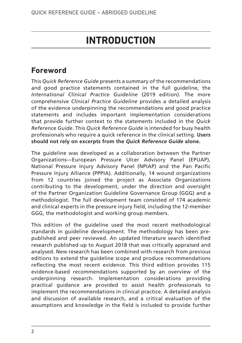# **INTRODUCTION**

### **Foreword**

This *Quick Reference Guide* presents a summary of the recommendations and good practice statements contained in the full guideline, the *International Clinical Practice Guideline* (2019 edition). The more comprehensive *Clinical Practice Guideline* provides a detailed analysis of the evidence underpinning the recommendations and good practice statements and includes important implementation considerations that provide further context to the statements included in the *Quick Reference Guide*. This *Quick Reference Guide* is intended for busy health professionals who require a quick reference in the clinical setting. **Users should not rely on excerpts from the** *Quick Reference Guide* **alone.**

The guideline was developed as a collaboration between the Partner Organizations—European Pressure Ulcer Advisory Panel (EPUAP), National Pressure Injury Advisory Panel (NPIAP) and the Pan Pacific Pressure Injury Alliance (PPPIA). Additionally, 14 wound organizations from 12 countries joined the project as Associate Organizations contributing to the development, under the direction and oversight of the Partner Organization Guideline Governance Group (GGG) and a methodologist. The full development team consisted of 174 academic and clinical experts in the pressure injury field, including the 12-member GGG, the methodologist and working group members.

This edition of the guideline used the most recent methodological standards in guideline development. The methodology has been prepublished and peer reviewed. An updated literature search identified research published up to August 2018 that was critically appraised and analysed. New research has been combined with research from previous editions to extend the guideline scope and produce recommendations reflecting the most recent evidence. This third edition provides 115 evidence-based recommendations supported by an overview of the underpinning research. Implementation considerations providing practical guidance are provided to assist health professionals to implement the recommendations in clinical practice. A detailed analysis and discussion of available research, and a critical evaluation of the assumptions and knowledge in the field is included to provide further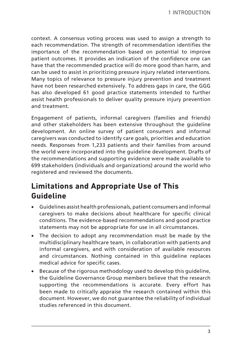context. A consensus voting process was used to assign a strength to each recommendation. The strength of recommendation identifies the importance of the recommendation based on potential to improve patient outcomes. It provides an indication of the confidence one can have that the recommended practice will do more good than harm, and can be used to assist in prioritizing pressure injury related interventions. Many topics of relevance to pressure injury prevention and treatment have not been researched extensively. To address gaps in care, the GGG has also developed 61 good practice statements intended to further assist health professionals to deliver quality pressure injury prevention and treatment.

Engagement of patients, informal caregivers (families and friends) and other stakeholders has been extensive throughout the guideline development. An online survey of patient consumers and informal caregivers was conducted to identify care goals, priorities and education needs. Responses from 1,233 patients and their families from around the world were incorporated into the guideline development. Drafts of the recommendations and supporting evidence were made available to 699 stakeholders (individuals and organizations) around the world who registered and reviewed the documents.

### **Limitations and Appropriate Use of This Guideline**

- • Guidelines assist health professionals, patient consumers and informal caregivers to make decisions about healthcare for specific clinical conditions. The evidence-based recommendations and good practice statements may not be appropriate for use in all circumstances.
- The decision to adopt any recommendation must be made by the multidisciplinary healthcare team, in collaboration with patients and informal caregivers, and with consideration of available resources and circumstances. Nothing contained in this guideline replaces medical advice for specific cases.
- Because of the rigorous methodology used to develop this quideline, the Guideline Governance Group members believe that the research supporting the recommendations is accurate. Every effort has been made to critically appraise the research contained within this document. However, we do not guarantee the reliability of individual studies referenced in this document.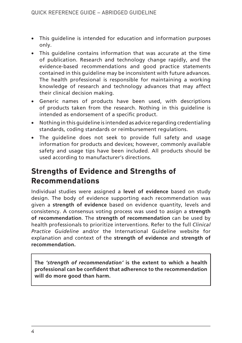- This quideline is intended for education and information purposes only.
- This quideline contains information that was accurate at the time of publication. Research and technology change rapidly, and the evidence-based recommendations and good practice statements contained in this guideline may be inconsistent with future advances. The health professional is responsible for maintaining a working knowledge of research and technology advances that may affect their clinical decision making.
- • Generic names of products have been used, with descriptions of products taken from the research. Nothing in this guideline is intended as endorsement of a specific product.
- • Nothing in this guideline is intended as advice regarding credentialing standards, coding standards or reimbursement regulations.
- The quideline does not seek to provide full safety and usage information for products and devices; however, commonly available safety and usage tips have been included. All products should be used according to manufacturer's directions.

### **Strengths of Evidence and Strengths of Recommendations**

Individual studies were assigned a **level of evidence** based on study design. The body of evidence supporting each recommendation was given a **strength of evidence** based on evidence quantity, levels and consistency. A consensus voting process was used to assign a **strength of recommendation**. The **strength of recommendation** can be used by health professionals to prioritize interventions. Refer to the full *Clinical Practice Guideline* and/or the International Guideline website for explanation and context of the **strength of evidence** and **strength of recommendation.**

**The** *'strength of recommendation'* **is the extent to which a health professional can be confident that adherence to the recommendation will do more good than harm.**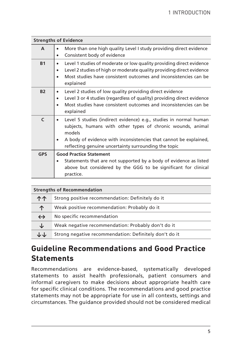|                | <b>Strengths of Evidence</b>                                                                                                                                                                                                                                            |  |  |  |
|----------------|-------------------------------------------------------------------------------------------------------------------------------------------------------------------------------------------------------------------------------------------------------------------------|--|--|--|
| A              | More than one high quality Level I study providing direct evidence<br>$\bullet$<br>Consistent body of evidence<br>$\bullet$                                                                                                                                             |  |  |  |
| B <sub>1</sub> | Level 1 studies of moderate or low quality providing direct evidence<br>Level 2 studies of high or moderate quality providing direct evidence<br>Most studies have consistent outcomes and inconsistencies can be<br>explained                                          |  |  |  |
| <b>B2</b>      | Level 2 studies of low quality providing direct evidence<br>Level 3 or 4 studies (regardless of quality) providing direct evidence<br>Most studies have consistent outcomes and inconsistencies can be<br>explained                                                     |  |  |  |
| $\mathsf{C}$   | Level 5 studies (indirect evidence) e.g., studies in normal human<br>subjects, humans with other types of chronic wounds, animal<br>models<br>A body of evidence with inconsistencies that cannot be explained,<br>reflecting genuine uncertainty surrounding the topic |  |  |  |
| <b>GPS</b>     | <b>Good Practice Statement</b><br>Statements that are not supported by a body of evidence as listed<br>above but considered by the GGG to be significant for clinical<br>practice.                                                                                      |  |  |  |

| <b>Strengths of Recommendation</b> |                                                        |  |
|------------------------------------|--------------------------------------------------------|--|
| 个个                                 | Strong positive recommendation: Definitely do it       |  |
| 个                                  | Weak positive recommendation: Probably do it           |  |
| $\leftrightarrow$                  | No specific recommendation                             |  |
| ↓                                  | Weak negative recommendation: Probably don't do it     |  |
| ጉጉ                                 | Strong negative recommendation: Definitely don't do it |  |

### **Guideline Recommendations and Good Practice Statements**

Recommendations are evidence-based, systematically developed statements to assist health professionals, patient consumers and informal caregivers to make decisions about appropriate health care for specific clinical conditions. The recommendations and good practice statements may not be appropriate for use in all contexts, settings and circumstances. The guidance provided should not be considered medical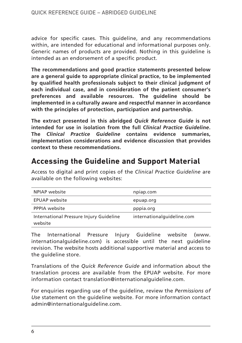advice for specific cases. This guideline, and any recommendations within, are intended for educational and informational purposes only. Generic names of products are provided. Nothing in this guideline is intended as an endorsement of a specific product.

**The recommendations and good practice statements presented below are a general guide to appropriate clinical practice, to be implemented by qualified health professionals subject to their clinical judgment of each individual case, and in consideration of the patient consumer's preferences and available resources. The guideline should be implemented in a culturally aware and respectful manner in accordance with the principles of protection, participation and partnership.**

**The extract presented in this abridged** *Quick Reference Guide* **is not intended for use in isolation from the full** *Clinical Practice Guideline***. The** *Clinical Practice Guideline* **contains evidence summaries, implementation considerations and evidence discussion that provides context to these recommendations.**

### **Accessing the Guideline and Support Material**

Access to digital and print copies of the *Clinical Practice Guideline* are available on the following websites:

| <b>NPIAP</b> website                               | npiap.com                  |
|----------------------------------------------------|----------------------------|
| <b>EPUAP</b> website                               | epuap.org                  |
| PPPIA website                                      | pppia.org                  |
| International Pressure Injury Guideline<br>website | internationalguideline.com |

The International Pressure Injury Guideline website (www. internationalguideline.com) is accessible until the next guideline revision. The website hosts additional supportive material and access to the guideline store.

Translations of the *Quick Reference Guide* and information about the translation process are available from the EPUAP website. For more information contact translation@internationalguideline.com.

For enquiries regarding use of the guideline, review the *Permissions of Use* statement on the guideline website. For more information contact admin@internationalguideline.com.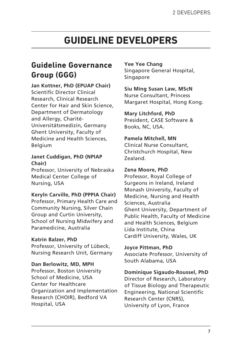## **GUIDELINE DEVELOPERS**

### **Guideline Governance Group (GGG)**

#### **Jan Kottner, PhD (EPUAP Chair)**

Scientific Director Clinical Research, Clinical Research Center for Hair and Skin Science, Department of Dermatology and Allergy, Charité-Universitätsmedizin, Germany Ghent University, Faculty of Medicine and Health Sciences, Belgium

#### **Janet Cuddigan, PhD (NPIAP Chair)**

Professor, University of Nebraska Medical Center College of Nursing, USA

#### **Keryln Carville, PhD (PPPIA Chair)**

Professor, Primary Health Care and Community Nursing, Silver Chain Group and Curtin University, School of Nursing Midwifery and Paramedicine, Australia

#### **Katrin Balzer, PhD**

Professor, University of Lübeck, Nursing Research Unit, Germany

#### **Dan Berlowitz, MD, MPH**

Professor, Boston University School of Medicine, USA Center for Healthcare Organization and Implementation Research (CHOIR), Bedford VA Hospital, USA

#### **Yee Yee Chang**

Singapore General Hospital, **Singapore** 

#### **Siu Ming Susan Law, MScN**

Nurse Consultant, Princess Margaret Hospital, Hong Kong.

#### **Mary Litchford, PhD**

President, CASE Software & Books, NC, USA.

#### **Pamela Mitchell, MN**

Clinical Nurse Consultant, Christchurch Hospital, New Zealand.

#### **Zena Moore, PhD**

Professor, Royal College of Surgeons in Ireland, Ireland Monash University, Faculty of Medicine, Nursing and Health Sciences, Australia Ghent University, Department of Public Health, Faculty of Medicine and Health Sciences, Belgium Lida Institute, China Cardiff University, Wales, UK

#### **Joyce Pittman, PhD**

Associate Professor, University of South Alabama, USA

#### **Dominique Sigaudo-Roussel, PhD**

Director of Research, Laboratory of Tissue Biology and Therapeutic Engineering, National Scientific Research Center (CNRS), University of Lyon, France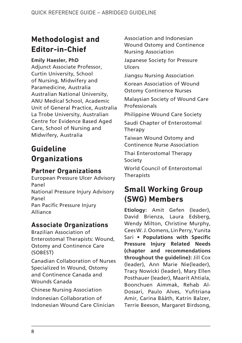### **Methodologist and Editor-in-Chief**

**Emily Haesler, PhD**

Adjunct Associate Professor, Curtin University, School of Nursing, Midwifery and Paramedicine, Australia Australian National University, ANU Medical School, Academic Unit of General Practice, Australia La Trobe University, Australian Centre for Evidence Based Aged Care, School of Nursing and Midwifery, Australia

### **Guideline Organizations**

### **Partner Organizations**

European Pressure Ulcer Advisory Panel National Pressure Injury Advisory Panel Pan Pacific Pressure Injury Alliance

### **Associate Organizations**

Brazilian Association of Enterostomal Therapists: Wound, Ostomy and Continence Care (SOBEST)

Canadian Collaboration of Nurses Specialized In Wound, Ostomy and Continence Canada and Wounds Canada

Chinese Nursing Association

Indonesian Collaboration of Indonesian Wound Care Clinician Association and Indonesian Wound Ostomy and Continence Nursing Association

Japanese Society for Pressure Ulcers

Jiangsu Nursing Association

Korean Association of Wound Ostomy Continence Nurses

Malaysian Society of Wound Care Professionals

Philippine Wound Care Society

Saudi Chapter of Enterostomal Therapy

Taiwan Wound Ostomy and Continence Nurse Association

Thai Enterostomal Therapy Society

World Council of Enterostomal **Therapists** 

### **Small Working Group (SWG) Members**

**Etiology:** Amit Gefen (leader), David Brienza, Laura Edsberg, Wendy Milton, Christine Murphy, Cees W. J. Oomens, Lin Perry, Yunita Sari • **Populations with Specific Pressure Injury Related Needs (chapter and recommendations throughout the guideline):** Jill Cox (leader), Ann Marie Nie(leader), Tracy Nowicki (leader), Mary Ellen Posthauer (leader), Maarit Ahtiala, Boonchuen Aimmak, Rehab Al-Dossari, Paulo Alves, Yufitriana Amir, Carina Bååth, Katrin Balzer, Terrie Beeson, Margaret Birdsong,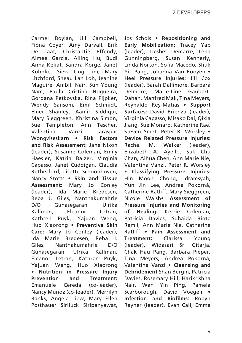Carmel Boylan, Jill Campbell, Fiona Coyer, Amy Darvall, Erik De Laat, Christantie Effendy, Aimee Garcia, Ailing Hu, Budi Anna Keliat, Sandra Korge, Janet Kuhnke, Siew Ling Lim, Mary Litchford, Sheau Lan Loh, Jeanine Maguire, Ambili Nair, Sun Young Nam, Paula Cristina Nogueira, Gordana Petkovska, Rina Pijpker, Wendy Sansom, Emil Schmidt, Emer Shanley, Aamir Siddiqui, Mary Sieggreen, Khristina Simon, Sue Templeton, Ann Tescher, Valentina Vanzi, Jaraspas Wongviseskarn • **Risk Factors and Risk Assessment:** Jane Nixon (leader), Susanne Coleman, Emily Haesler, Katrin Balzer, Virginia Capasso, Janet Cuddigan, Claudia Rutherford, Lisette Schoonhoven, Nancy Stotts • **Skin and Tissue Assessment:** Mary Jo Conley (leader), Ida Marie Bredesen, Reba J. Giles, Nanthakumahrie D/O Gunasegaran, Ulrika Källman, Eleanor Letran, Kathren Puyk, Yajuan Weng, Huo Xiaorong • **Preventive Skin Care:** Mary Jo Conley (leader), Ida Marie Bredesen, Reba J. Giles, Nanthakumahrie D/O Gunasegaran, Ulrika Källman, Eleanor Letran, Kathren Puyk, Yajuan Weng, Huo Xiaorong • **Nutrition in Pressure Injury Prevention and Treatment:** Emanuele Cereda (co-leader), Nancy Munoz (co-leader), Merrilyn Banks, Angela Liew, Mary Ellen Posthauer Siriluck Siripanyawat,

Jos Schols • **Repositioning and Early Mobilization:** Tracey Yap (leader), Liesbet Demarré, Lena Gunningberg, Susan Kennerly, Linda Norton, Sofia Macedo, Shuk Yi Pang, Johanna Van Rooyen • **Heel Pressure Injuries:** Jill Cox (leader), Sarah Dallimore, Barbara Delmore, Marie-Line Gaubert-Dahan, Manfred Mak, Tina Meyers, Reynaldo Rey-Matias • **Support Surfaces:** David Brienza (leader), Virginia Capasso, Misako Dai, Qixia Jiang, Sue Monaro, Katherine Rae, Steven Smet, Peter R. Worsley • **Device Related Pressure Injuries:** Rachel M. Walker (leader), Elizabeth A. Ayello, Suk Chu Chan, Aihua Chen, Ann Marie Nie, Valentina Vanzi, Peter R. Worsley • **Classifying Pressure Injuries:** Hin Moon Chong, Idramsyah, Yun Jin Lee, Andrea Pokorná, Catherine Ratliff, Mary Sieggreen, Nicole Walsh• **Assessment of Pressure Injuries and Monitoring of Healing:** Kerrie Coleman, Patricia Davies, Suhaida Binte Ramli, Ann Marie Nie, Catherine Ratliff • **Pain Assessment and Treatment:** Clarissa Young (leader), Widasari Sri Gitarja, Chak Hau Pang, Barbara Pieper, Tina Meyers, Andrea Pokorná, Valentina Vanzi • **Cleansing and Debridement** Shan Bergin, Patricia Davies, Rosemary Hill, Harikrishna Nair, Wan Yin Ping, Pamela Scarborough, David Voegeli • **Infection and Biofilms:** Robyn Rayner (leader), Evan Call, Emma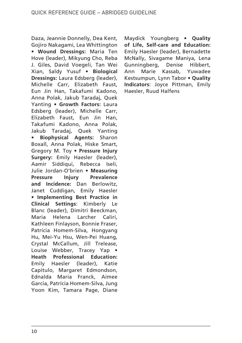Daza, Jeannie Donnelly, Dea Kent, Gojiro Nakagami, Lea Whittington • **Wound Dressings:** Maria Ten Hove (leader), Mikyung Cho, Reba J. Giles, David Voegeli, Tan Wei Xian, Saldy Yusuf • **Biological Dressings:** Laura Edsberg (leader), Michelle Carr, Elizabeth Faust, Eun Jin Han, Takafumi Kadono, Anna Polak, Jakub Taradaj, Quek Yanting • **Growth Factors:** Laura Edsberg (leader), Michelle Carr, Elizabeth Faust, Eun Jin Han, Takafumi Kadono, Anna Polak, Jakub Taradaj, Quek Yanting • **Biophysical Agents:** Sharon Boxall, Anna Polak, Hiske Smart, Gregory M. Toy • **Pressure Injury Surgery:** Emily Haesler (leader), Aamir Siddiqui, Rebecca Iseli, Julie Jordan-O'brien • **Measuring Pressure Injury Prevalence and Incidence:** Dan Berlowitz, Janet Cuddigan, Emily Haesler • **Implementing Best Practice in Clinical Settings**: Kimberly Le Blanc (leader), Dimitri Beeckman, Maria Helena Larcher Caliri, Kathleen Finlayson, Bonnie Fraser, Patrícia Homem-Silva, Hongyang Hu, Mei-Yu Hsu, Wen-Pei Huang, Crystal McCallum, Jill Trelease, Louise Webber, Tracey Yap • **Heath Professional Education:**  Emily Haesler (leader), Katie Capitulo, Margaret Edmondson, Ednalda Maria Franck, Aimee Garcia, Patrícia Homem-Silva, Jung Yoon Kim, Tamara Page, Diane

Maydick Youngberg • **Quality of Life, Self-care and Education:** Emily Haesler (leader), Bernadette McNally, Sivagame Maniya, Lena Gunningberg, Denise Hibbert, Ann Marie Kassab, Yuwadee Kestsumpun, Lynn Tabor • **Quality Indicators**: Joyce Pittman, Emily Haesler, Ruud Halfens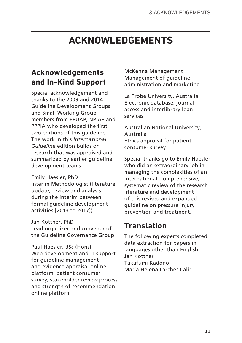## **ACKNOWLEDGEMENTS**

### **Acknowledgements and In-Kind Support**

Special acknowledgement and thanks to the 2009 and 2014 Guideline Development Groups and Small Working Group members from EPUAP, NPIAP and PPPIA who developed the first two editions of this guideline. The work in this *International Guideline* edition builds on research that was appraised and summarized by earlier guideline development teams.

Emily Haesler, PhD Interim Methodologist (literature update, review and analysis during the interim between formal guideline development activities [2013 to 2017])

Jan Kottner, PhD Lead organizer and convener of the Guideline Governance Group

Paul Haesler, BSc (Hons) Web development and IT support for guideline management and evidence appraisal online platform, patient consumer survey, stakeholder review process and strength of recommendation online platform

McKenna Management Management of guideline administration and marketing

La Trobe University, Australia Electronic database, journal access and interlibrary loan services

Australian National University, Australia Ethics approval for patient consumer survey

Special thanks go to Emily Haesler who did an extraordinary job in managing the complexities of an international, comprehensive, systematic review of the research literature and development of this revised and expanded guideline on pressure injury prevention and treatment.

### **Translation**

The following experts completed data extraction for papers in languages other than English: Jan Kottner Takafumi Kadono Maria Helena Larcher Caliri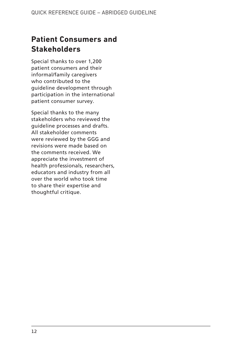### **Patient Consumers and Stakeholders**

Special thanks to over 1,200 patient consumers and their informal/family caregivers who contributed to the guideline development through participation in the international patient consumer survey.

Special thanks to the many stakeholders who reviewed the guideline processes and drafts. All stakeholder comments were reviewed by the GGG and revisions were made based on the comments received. We appreciate the investment of health professionals, researchers, educators and industry from all over the world who took time to share their expertise and thoughtful critique.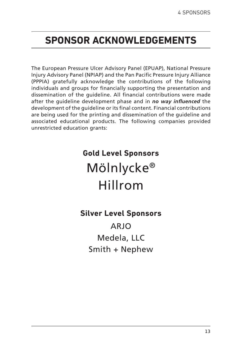## **SPONSOR ACKNOWLEDGEMENTS**

The European Pressure Ulcer Advisory Panel (EPUAP), National Pressure Injury Advisory Panel (NPIAP) and the Pan Pacific Pressure Injury Alliance (PPPIA) gratefully acknowledge the contributions of the following individuals and groups for financially supporting the presentation and dissemination of the guideline. All financial contributions were made after the guideline development phase and in *no way influenced* the development of the guideline or its final content. Financial contributions are being used for the printing and dissemination of the guideline and associated educational products. The following companies provided unrestricted education grants:

# **Gold Level Sponsors** Mölnlycke® Hillrom

### **Silver Level Sponsors**

**ARIO** Medela, LLC Smith + Nephew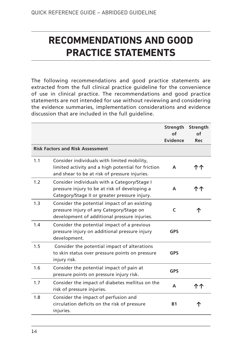# **RECOMMENDATIONS AND GOOD PRACTICE STATEMENTS**

The following recommendations and good practice statements are extracted from the full clinical practice guideline for the convenience of use in clinical practice. The recommendations and good practice statements are not intended for use without reviewing and considering the evidence summaries, implementation considerations and evidence discussion that are included in the full guideline.

|     |                                                                                                                                                    | Strength<br>of<br>Evidence | Strength<br>οf<br>Rec |
|-----|----------------------------------------------------------------------------------------------------------------------------------------------------|----------------------------|-----------------------|
|     | <b>Risk Factors and Risk Assessment</b>                                                                                                            |                            |                       |
| 1.1 | Consider individuals with limited mobility,<br>limited activity and a high potential for friction<br>and shear to be at risk of pressure injuries. | А                          |                       |
| 1.2 | Consider individuals with a Category/Stage I<br>pressure injury to be at risk of developing a<br>Category/Stage II or greater pressure injury.     | А                          |                       |
| 1.3 | Consider the potential impact of an existing<br>pressure injury of any Category/Stage on<br>development of additional pressure injuries.           | $\mathsf{C}$               |                       |
| 1.4 | Consider the potential impact of a previous<br>pressure injury on additional pressure injury<br>development.                                       | <b>GPS</b>                 |                       |
| 1.5 | Consider the potential impact of alterations<br>to skin status over pressure points on pressure<br>injury risk.                                    | GPS                        |                       |
| 1.6 | Consider the potential impact of pain at<br>pressure points on pressure injury risk.                                                               | <b>GPS</b>                 |                       |
| 1.7 | Consider the impact of diabetes mellitus on the<br>risk of pressure injuries.                                                                      | A                          |                       |
| 1.8 | Consider the impact of perfusion and<br>circulation deficits on the risk of pressure<br>injuries.                                                  | <b>B1</b>                  |                       |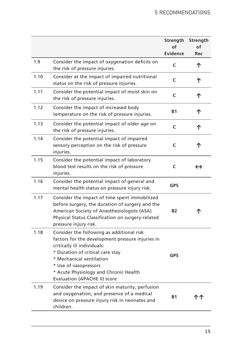|      |                                                                                                                                                                                                                                                                                                | Strength       | Strength          |
|------|------------------------------------------------------------------------------------------------------------------------------------------------------------------------------------------------------------------------------------------------------------------------------------------------|----------------|-------------------|
|      |                                                                                                                                                                                                                                                                                                | of<br>Evidence | of<br>Rec         |
| 1.9  | Consider the impact of oxygenation deficits on<br>the risk of pressure injuries.                                                                                                                                                                                                               | C              | 个                 |
| 1.10 | Consider at the impact of impaired nutritional<br>status on the risk of pressure injuries.                                                                                                                                                                                                     | C              | 个                 |
| 1.11 | Consider the potential impact of moist skin on<br>the risk of pressure injuries.                                                                                                                                                                                                               | C              | 个                 |
| 1.12 | Consider the impact of increased body<br>temperature on the risk of pressure injuries.                                                                                                                                                                                                         | <b>B1</b>      | 个                 |
| 1.13 | Consider the potential impact of older age on<br>the risk of pressure injuries.                                                                                                                                                                                                                | C              | 个                 |
| 1.14 | Consider the potential impact of impaired<br>sensory perception on the risk of pressure<br>injuries.                                                                                                                                                                                           | C              | ↑                 |
| 1.15 | Consider the potential impact of laboratory<br>blood test results on the risk of pressure<br>injuries.                                                                                                                                                                                         | C              | $\leftrightarrow$ |
| 1.16 | Consider the potential impact of general and<br>mental health status on pressure injury risk.                                                                                                                                                                                                  | <b>GPS</b>     |                   |
| 1.17 | Consider the impact of time spent immobilized<br>before surgery, the duration of surgery and the<br>American Society of Anesthesiologists (ASA)<br>Physical Status Classification on surgery-related<br>pressure injury risk.                                                                  | <b>B2</b>      |                   |
| 1.18 | Consider the following as additional risk<br>factors for the development pressure injuries in<br>critically ill individuals:<br>* Duration of critical care stay<br>* Mechanical ventilation<br>* Use of vasopressors<br>* Acute Physiology and Chronic Health<br>Evaluation (APACHE II) score | <b>GPS</b>     |                   |
| 1.19 | Consider the impact of skin maturity, perfusion<br>and oxygenation, and presence of a medical<br>device on pressure injury risk in neonates and<br>children.                                                                                                                                   | <b>B1</b>      |                   |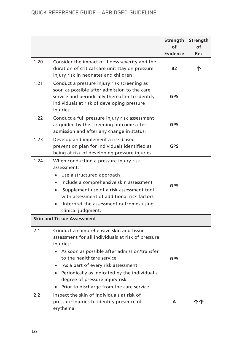|      |                                                                                                                                                                                                                                                                                                                                                                | Strength<br>of<br>Evidence | Strength<br>οf<br>Rec |
|------|----------------------------------------------------------------------------------------------------------------------------------------------------------------------------------------------------------------------------------------------------------------------------------------------------------------------------------------------------------------|----------------------------|-----------------------|
| 1.20 | Consider the impact of illness severity and the<br>duration of critical care unit stay on pressure<br>injury risk in neonates and children                                                                                                                                                                                                                     | <b>B2</b>                  | 个                     |
| 1.21 | Conduct a pressure injury risk screening as<br>soon as possible after admission to the care<br>service and periodically thereafter to identify<br>individuals at risk of developing pressure<br>injuries.                                                                                                                                                      | <b>GPS</b>                 |                       |
| 1.22 | Conduct a full pressure injury risk assessment<br>as guided by the screening outcome after<br>admission and after any change in status.                                                                                                                                                                                                                        | <b>GPS</b>                 |                       |
| 1.23 | Develop and implement a risk-based<br>prevention plan for individuals identified as<br>being at risk of developing pressure injuries.                                                                                                                                                                                                                          | <b>GPS</b>                 |                       |
| 1.24 | When conducting a pressure injury risk<br>assessment:<br>Use a structured approach<br>Include a comprehensive skin assessment<br>$\bullet$<br>Supplement use of a risk assessment tool<br>$\bullet$<br>with assessment of additional risk factors<br>Interpret the assessment outcomes using<br>clinical judgment.                                             | <b>GPS</b>                 |                       |
|      | <b>Skin and Tissue Assessment</b>                                                                                                                                                                                                                                                                                                                              |                            |                       |
| 2.1  | Conduct a comprehensive skin and tissue<br>assessment for all individuals at risk of pressure<br>injuries:<br>• As soon as possible after admission/transfer<br>to the healthcare service<br>As a part of every risk assessment<br>Periodically as indicated by the individual's<br>degree of pressure injury risk<br>Prior to discharge from the care service | <b>GPS</b>                 |                       |
| 2.2  | Inspect the skin of individuals at risk of<br>pressure injuries to identify presence of<br>erythema.                                                                                                                                                                                                                                                           | А                          |                       |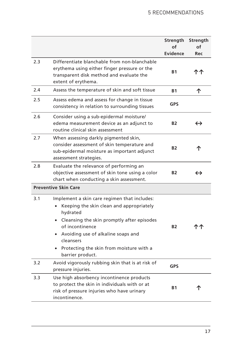|     |                                                                                                                                                                                                                                                                                            | Strength<br>оf | Strength<br>οf    |
|-----|--------------------------------------------------------------------------------------------------------------------------------------------------------------------------------------------------------------------------------------------------------------------------------------------|----------------|-------------------|
|     |                                                                                                                                                                                                                                                                                            | Evidence       | Rec               |
| 2.3 | Differentiate blanchable from non-blanchable<br>erythema using either finger pressure or the<br>transparent disk method and evaluate the<br>extent of erythema.                                                                                                                            | <b>B1</b>      |                   |
| 2.4 | Assess the temperature of skin and soft tissue                                                                                                                                                                                                                                             | <b>B1</b>      | ጥ                 |
| 2.5 | Assess edema and assess for change in tissue<br>consistency in relation to surrounding tissues                                                                                                                                                                                             | GPS            |                   |
| 2.6 | Consider using a sub-epidermal moisture/<br>edema measurement device as an adjunct to<br>routine clinical skin assessment                                                                                                                                                                  | <b>B2</b>      | $\leftrightarrow$ |
| 2.7 | When assessing darkly pigmented skin,<br>consider assessment of skin temperature and<br>sub-epidermal moisture as important adjunct<br>assessment strategies.                                                                                                                              | <b>B2</b>      | ጥ                 |
| 2.8 | Evaluate the relevance of performing an<br>objective assessment of skin tone using a color<br>chart when conducting a skin assessment.                                                                                                                                                     | <b>B2</b>      | $\leftrightarrow$ |
|     | <b>Preventive Skin Care</b>                                                                                                                                                                                                                                                                |                |                   |
| 3.1 | Implement a skin care regimen that includes:<br>Keeping the skin clean and appropriately<br>hydrated<br>Cleansing the skin promptly after episodes<br>of incontinence<br>• Avoiding use of alkaline soaps and<br>cleansers<br>Protecting the skin from moisture with a<br>barrier product. | <b>B2</b>      |                   |
| 3.2 | Avoid vigorously rubbing skin that is at risk of<br>pressure injuries.                                                                                                                                                                                                                     | <b>GPS</b>     |                   |
| 3.3 | Use high absorbency incontinence products<br>to protect the skin in individuals with or at<br>risk of pressure injuries who have urinary<br>incontinence.                                                                                                                                  | <b>B1</b>      |                   |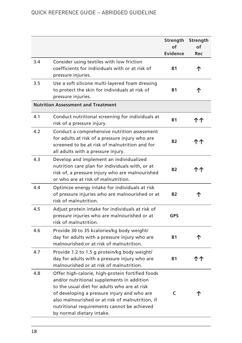|     |                                                                                                                                                                                                                                                                                                                               | Strength<br>of<br><b>Evidence</b> | Strength<br>of<br>Rec |
|-----|-------------------------------------------------------------------------------------------------------------------------------------------------------------------------------------------------------------------------------------------------------------------------------------------------------------------------------|-----------------------------------|-----------------------|
| 3.4 | Consider using textiles with low friction<br>coefficients for individuals with or at risk of<br>pressure injuries.                                                                                                                                                                                                            | <b>B1</b>                         | ጥ                     |
| 3.5 | Use a soft silicone multi-layered foam dressing<br>to protect the skin for individuals at risk of<br>pressure injuries.                                                                                                                                                                                                       | <b>B1</b>                         | 个                     |
|     | <b>Nutrition Assessment and Treatment</b>                                                                                                                                                                                                                                                                                     |                                   |                       |
| 4.1 | Conduct nutritional screening for individuals at<br>risk of a pressure injury.                                                                                                                                                                                                                                                | <b>B1</b>                         | ተ ተ                   |
| 4.2 | Conduct a comprehensive nutrition assessment<br>for adults at risk of a pressure injury who are<br>screened to be at risk of malnutrition and for<br>all adults with a pressure injury.                                                                                                                                       | <b>B2</b>                         | ተ ተ                   |
| 4.3 | Develop and implement an individualized<br>nutrition care plan for individuals with, or at<br>risk of, a pressure injury who are malnourished<br>or who are at risk of malnutrition.                                                                                                                                          | B2                                | ጥ ጥ                   |
| 4.4 | Optimize energy intake for individuals at risk<br>of pressure injuries who are malnourished or at<br>risk of malnutrition.                                                                                                                                                                                                    | B2                                | 个                     |
| 4.5 | Adjust protein intake for individuals at risk of<br>pressure injuries who are malnourished or at<br>risk of malnutrition.                                                                                                                                                                                                     | <b>GPS</b>                        |                       |
| 4.6 | Provide 30 to 35 kcalories/kg body weight/<br>day for adults with a pressure injury who are<br>malnourished or at risk of malnutrition.                                                                                                                                                                                       | <b>B1</b>                         | 个                     |
| 4.7 | Provide 1.2 to 1.5 g protein/kg body weight/<br>day for adults with a pressure injury who are<br>malnourished or at risk of malnutrition.                                                                                                                                                                                     | Β1                                | ተ ተ                   |
| 4.8 | Offer high-calorie, high-protein fortified foods<br>and/or nutritional supplements in addition<br>to the usual diet for adults who are at risk<br>of developing a pressure injury and who are<br>also malnourished or at risk of malnutrition, if<br>nutritional requirements cannot be achieved<br>by normal dietary intake. | c                                 | ጥ                     |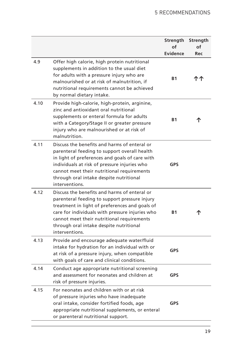|      |                                                                                                                                                                                                                                                                                                               | Strength<br>of        | Strength<br>of |
|------|---------------------------------------------------------------------------------------------------------------------------------------------------------------------------------------------------------------------------------------------------------------------------------------------------------------|-----------------------|----------------|
| 4.9  | Offer high calorie, high protein nutritional<br>supplements in addition to the usual diet<br>for adults with a pressure injury who are<br>malnourished or at risk of malnutrition, if<br>nutritional requirements cannot be achieved<br>by normal dietary intake.                                             | Evidence<br><b>B1</b> | Rec            |
| 4.10 | Provide high-calorie, high-protein, arginine,<br>zinc and antioxidant oral nutritional<br>supplements or enteral formula for adults<br>with a Category/Stage II or greater pressure<br>injury who are malnourished or at risk of<br>malnutrition.                                                             | <b>B1</b>             |                |
| 4.11 | Discuss the benefits and harms of enteral or<br>parenteral feeding to support overall health<br>in light of preferences and goals of care with<br>individuals at risk of pressure injuries who<br>cannot meet their nutritional requirements<br>through oral intake despite nutritional<br>interventions.     | <b>GPS</b>            |                |
| 4.12 | Discuss the benefits and harms of enteral or<br>parenteral feeding to support pressure injury<br>treatment in light of preferences and goals of<br>care for individuals with pressure injuries who<br>cannot meet their nutritional requirements<br>through oral intake despite nutritional<br>interventions. | <b>B1</b>             |                |
| 4.13 | Provide and encourage adequate water/fluid<br>intake for hydration for an individual with or<br>at risk of a pressure injury, when compatible<br>with goals of care and clinical conditions.                                                                                                                  | <b>GPS</b>            |                |
| 4.14 | Conduct age appropriate nutritional screening<br>and assessment for neonates and children at<br>risk of pressure injuries.                                                                                                                                                                                    | <b>GPS</b>            |                |
| 4.15 | For neonates and children with or at risk<br>of pressure injuries who have inadequate<br>oral intake, consider fortified foods, age<br>appropriate nutritional supplements, or enteral<br>or parenteral nutritional support.                                                                                  | <b>GPS</b>            |                |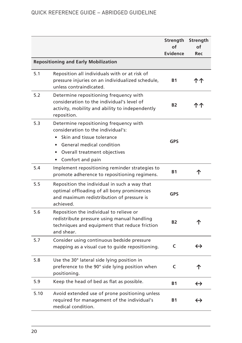#### QUICK REFERENCE GUIDE – ABRIDGED GUIDELINE

|      |                                                                                                                                                                                                | Strength<br>of<br><b>Evidence</b> | Strength<br>οf<br>Rec |
|------|------------------------------------------------------------------------------------------------------------------------------------------------------------------------------------------------|-----------------------------------|-----------------------|
|      | <b>Repositioning and Early Mobilization</b>                                                                                                                                                    |                                   |                       |
| 5.1  | Reposition all individuals with or at risk of<br>pressure injuries on an individualized schedule,<br>unless contraindicated.                                                                   | <b>B1</b>                         | ተ ተ                   |
| 5.2  | Determine repositioning frequency with<br>consideration to the individual's level of<br>activity, mobility and ability to independently<br>reposition.                                         | B <sub>2</sub>                    |                       |
| 5.3  | Determine repositioning frequency with<br>consideration to the individual's:<br>Skin and tissue tolerance<br>• General medical condition<br>• Overall treatment objectives<br>Comfort and pain | <b>GPS</b>                        |                       |
| 5.4  | Implement repositioning reminder strategies to<br>promote adherence to repositioning regimens.                                                                                                 | Β1                                | 个                     |
| 5.5  | Reposition the individual in such a way that<br>optimal offloading of all bony prominences<br>and maximum redistribution of pressure is<br>achieved.                                           | <b>GPS</b>                        |                       |
| 5.6  | Reposition the individual to relieve or<br>redistribute pressure using manual handling<br>techniques and equipment that reduce friction<br>and shear.                                          | <b>B2</b>                         | ጉ                     |
| 5.7  | Consider using continuous bedside pressure<br>mapping as a visual cue to guide repositioning.                                                                                                  | c                                 | $\leftrightarrow$     |
| 5.8  | Use the 30° lateral side lying position in<br>preference to the 90° side lying position when<br>positioning.                                                                                   | C                                 | ጉ                     |
| 5.9  | Keep the head of bed as flat as possible.                                                                                                                                                      | <b>B1</b>                         | $\leftrightarrow$     |
| 5.10 | Avoid extended use of prone positioning unless<br>required for management of the individual's<br>medical condition.                                                                            | <b>B1</b>                         | $\leftrightarrow$     |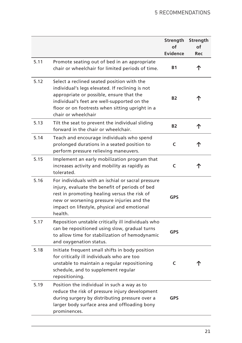|      |                                                                                                                                                                                                                                                                    | Strength<br>of<br>Evidence | Strength<br>of<br>Rec |
|------|--------------------------------------------------------------------------------------------------------------------------------------------------------------------------------------------------------------------------------------------------------------------|----------------------------|-----------------------|
| 5.11 | Promote seating out of bed in an appropriate<br>chair or wheelchair for limited periods of time.                                                                                                                                                                   | <b>B1</b>                  | 个                     |
| 5.12 | Select a reclined seated position with the<br>individual's legs elevated. If reclining is not<br>appropriate or possible, ensure that the<br>individual's feet are well-supported on the<br>floor or on footrests when sitting upright in a<br>chair or wheelchair | <b>B2</b>                  |                       |
| 5.13 | Tilt the seat to prevent the individual sliding<br>forward in the chair or wheelchair.                                                                                                                                                                             | <b>B2</b>                  | 个                     |
| 5.14 | Teach and encourage individuals who spend<br>prolonged durations in a seated position to<br>perform pressure relieving maneuvers.                                                                                                                                  | C                          | ጥ                     |
| 5.15 | Implement an early mobilization program that<br>increases activity and mobility as rapidly as<br>tolerated.                                                                                                                                                        | C                          |                       |
| 5.16 | For individuals with an ischial or sacral pressure<br>injury, evaluate the benefit of periods of bed<br>rest in promoting healing versus the risk of<br>new or worsening pressure injuries and the<br>impact on lifestyle, physical and emotional<br>health.       | <b>GPS</b>                 |                       |
| 5.17 | Reposition unstable critically ill individuals who<br>can be repositioned using slow, gradual turns<br>to allow time for stabilization of hemodynamic<br>and oxygenation status.                                                                                   | <b>GPS</b>                 |                       |
| 5.18 | Initiate frequent small shifts in body position<br>for critically ill individuals who are too<br>unstable to maintain a regular repositioning<br>schedule, and to supplement regular<br>repositioning.                                                             | C                          |                       |
| 5.19 | Position the individual in such a way as to<br>reduce the risk of pressure injury development<br>during surgery by distributing pressure over a<br>larger body surface area and offloading bony<br>prominences.                                                    | <b>GPS</b>                 |                       |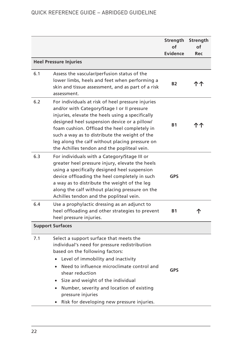#### QUICK REFERENCE GUIDE – ABRIDGED GUIDELINE

|     |                                                                                                                                                                                                                                                                                                                                                                                                                                | Strength<br>of<br><b>Evidence</b> | Strength<br>οf<br>Rec |
|-----|--------------------------------------------------------------------------------------------------------------------------------------------------------------------------------------------------------------------------------------------------------------------------------------------------------------------------------------------------------------------------------------------------------------------------------|-----------------------------------|-----------------------|
|     | <b>Heel Pressure Injuries</b>                                                                                                                                                                                                                                                                                                                                                                                                  |                                   |                       |
| 6.1 | Assess the vascular/perfusion status of the<br>lower limbs, heels and feet when performing a<br>skin and tissue assessment, and as part of a risk<br>assessment.                                                                                                                                                                                                                                                               | <b>B2</b>                         |                       |
| 6.2 | For individuals at risk of heel pressure injuries<br>and/or with Category/Stage I or II pressure<br>injuries, elevate the heels using a specifically<br>designed heel suspension device or a pillow/<br>foam cushion. Offload the heel completely in<br>such a way as to distribute the weight of the<br>leg along the calf without placing pressure on<br>the Achilles tendon and the popliteal vein.                         | <b>B1</b>                         |                       |
| 6.3 | For individuals with a Category/Stage III or<br>greater heel pressure injury, elevate the heels<br>using a specifically designed heel suspension<br>device offloading the heel completely in such<br>a way as to distribute the weight of the leg<br>along the calf without placing pressure on the<br>Achilles tendon and the popliteal vein.                                                                                 | <b>GPS</b>                        |                       |
| 6.4 | Use a prophylactic dressing as an adjunct to<br>heel offloading and other strategies to prevent<br>heel pressure injuries.                                                                                                                                                                                                                                                                                                     | <b>B1</b>                         | 个                     |
|     | <b>Support Surfaces</b>                                                                                                                                                                                                                                                                                                                                                                                                        |                                   |                       |
| 7.1 | Select a support surface that meets the<br>individual's need for pressure redistribution<br>based on the following factors:<br>Level of immobility and inactivity<br>$\bullet$<br>Need to influence microclimate control and<br>$\bullet$<br>shear reduction<br>Size and weight of the individual<br>Number, severity and location of existing<br>$\bullet$<br>pressure injuries<br>Risk for developing new pressure injuries. | GPS                               |                       |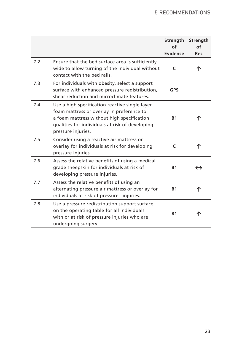|     |                                                                                                                                                                                                                    | Strength<br>of<br><b>Evidence</b> | Strength<br>of<br>Rec |
|-----|--------------------------------------------------------------------------------------------------------------------------------------------------------------------------------------------------------------------|-----------------------------------|-----------------------|
| 7.2 | Ensure that the bed surface area is sufficiently<br>wide to allow turning of the individual without<br>contact with the bed rails.                                                                                 | C                                 |                       |
| 7.3 | For individuals with obesity, select a support<br>surface with enhanced pressure redistribution,<br>shear reduction and microclimate features.                                                                     | <b>GPS</b>                        |                       |
| 7.4 | Use a high specification reactive single layer<br>foam mattress or overlay in preference to<br>a foam mattress without high specification<br>qualities for individuals at risk of developing<br>pressure injuries. | <b>B1</b>                         |                       |
| 7.5 | Consider using a reactive air mattress or<br>overlay for individuals at risk for developing<br>pressure injuries.                                                                                                  | C                                 |                       |
| 7.6 | Assess the relative benefits of using a medical<br>grade sheepskin for individuals at risk of<br>developing pressure injuries.                                                                                     | <b>B1</b>                         | $\leftrightarrow$     |
| 7.7 | Assess the relative benefits of using an<br>alternating pressure air mattress or overlay for<br>individuals at risk of pressure injuries.                                                                          | <b>B1</b>                         | ጉ                     |
| 7.8 | Use a pressure redistribution support surface<br>on the operating table for all individuals<br>with or at risk of pressure injuries who are<br>undergoing surgery.                                                 | <b>B1</b>                         |                       |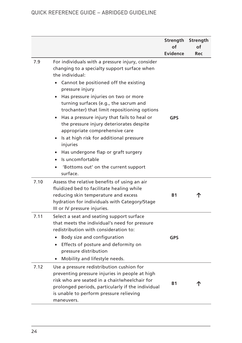|              |                                                                                                                                                                                                                                                                                                                                                                                                                                                                                                                                                                                                                                                             | Strength<br>of<br>Evidence | Strength<br>of<br>Rec |
|--------------|-------------------------------------------------------------------------------------------------------------------------------------------------------------------------------------------------------------------------------------------------------------------------------------------------------------------------------------------------------------------------------------------------------------------------------------------------------------------------------------------------------------------------------------------------------------------------------------------------------------------------------------------------------------|----------------------------|-----------------------|
| 7.9          | For individuals with a pressure injury, consider<br>changing to a specialty support surface when<br>the individual:<br>Cannot be positioned off the existing<br>pressure injury<br>Has pressure injuries on two or more<br>turning surfaces (e.g., the sacrum and<br>trochanter) that limit repositioning options<br>Has a pressure injury that fails to heal or<br>the pressure injury deteriorates despite<br>appropriate comprehensive care<br>Is at high risk for additional pressure<br>$\bullet$<br>injuries<br>Has undergone flap or graft surgery<br>$\bullet$<br>Is uncomfortable<br>$\bullet$<br>'Bottoms out' on the current support<br>surface. | <b>GPS</b>                 |                       |
| 7.10         | Assess the relative benefits of using an air<br>fluidized bed to facilitate healing while<br>reducing skin temperature and excess<br>hydration for individuals with Category/Stage<br>III or IV pressure injuries.                                                                                                                                                                                                                                                                                                                                                                                                                                          | <b>B1</b>                  |                       |
| 7.11<br>7.12 | Select a seat and seating support surface<br>that meets the individual's need for pressure<br>redistribution with consideration to:<br>Body size and configuration<br>Effects of posture and deformity on<br>$\bullet$<br>pressure distribution<br>Mobility and lifestyle needs.                                                                                                                                                                                                                                                                                                                                                                            | <b>GPS</b>                 |                       |
|              | Use a pressure redistribution cushion for<br>preventing pressure injuries in people at high<br>risk who are seated in a chair/wheelchair for<br>prolonged periods, particularly if the individual<br>is unable to perform pressure relieving<br>maneuvers.                                                                                                                                                                                                                                                                                                                                                                                                  | <b>B1</b>                  |                       |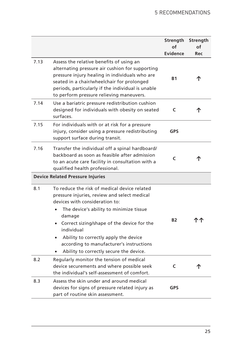|      |                                                                                                                                                                                                                                                                                                                                                                                                | Strength<br>of<br>Evidence | <b>Strength</b><br>οf<br>Rec |
|------|------------------------------------------------------------------------------------------------------------------------------------------------------------------------------------------------------------------------------------------------------------------------------------------------------------------------------------------------------------------------------------------------|----------------------------|------------------------------|
| 7.13 | Assess the relative benefits of using an<br>alternating pressure air cushion for supporting<br>pressure injury healing in individuals who are<br>seated in a chair/wheelchair for prolonged<br>periods, particularly if the individual is unable<br>to perform pressure relieving maneuvers.                                                                                                   | <b>B1</b>                  |                              |
| 7.14 | Use a bariatric pressure redistribution cushion<br>designed for individuals with obesity on seated<br>surfaces.                                                                                                                                                                                                                                                                                | c                          | Т                            |
| 7.15 | For individuals with or at risk for a pressure<br>injury, consider using a pressure redistributing<br>support surface during transit.                                                                                                                                                                                                                                                          | <b>GPS</b>                 |                              |
| 7.16 | Transfer the individual off a spinal hardboard/<br>backboard as soon as feasible after admission<br>to an acute care facility in consultation with a<br>qualified health professional.                                                                                                                                                                                                         | C                          |                              |
|      | <b>Device Related Pressure Injuries</b>                                                                                                                                                                                                                                                                                                                                                        |                            |                              |
| 8.1  | To reduce the risk of medical device related<br>pressure injuries, review and select medical<br>devices with consideration to:<br>The device's ability to minimize tissue<br>damage<br>• Correct sizing/shape of the device for the<br>individual<br>Ability to correctly apply the device<br>$\bullet$<br>according to manufacturer's instructions<br>Ability to correctly secure the device. | <b>B2</b>                  |                              |
| 8.2  | Regularly monitor the tension of medical<br>device securements and where possible seek<br>the individual's self-assessment of comfort.                                                                                                                                                                                                                                                         | C                          | ጉ                            |
| 8.3  | Assess the skin under and around medical<br>devices for signs of pressure related injury as<br>part of routine skin assessment.                                                                                                                                                                                                                                                                | <b>GPS</b>                 |                              |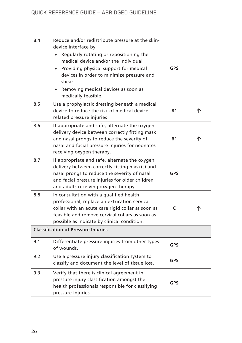| 8.4 | Reduce and/or redistribute pressure at the skin-<br>device interface by:<br>Regularly rotating or repositioning the<br>medical device and/or the individual<br>Providing physical support for medical<br>$\bullet$<br>devices in order to minimize pressure and<br>shear | GPS        |   |
|-----|--------------------------------------------------------------------------------------------------------------------------------------------------------------------------------------------------------------------------------------------------------------------------|------------|---|
|     | Removing medical devices as soon as<br>medically feasible.                                                                                                                                                                                                               |            |   |
| 8.5 | Use a prophylactic dressing beneath a medical<br>device to reduce the risk of medical device<br>related pressure injuries                                                                                                                                                | <b>B1</b>  | ጥ |
| 8.6 | If appropriate and safe, alternate the oxygen<br>delivery device between correctly fitting mask<br>and nasal prongs to reduce the severity of<br>nasal and facial pressure injuries for neonates<br>receiving oxygen therapy.                                            | <b>B1</b>  |   |
| 8.7 | If appropriate and safe, alternate the oxygen<br>delivery between correctly-fitting mask(s) and<br>nasal prongs to reduce the severity of nasal<br>and facial pressure injuries for older children<br>and adults receiving oxygen therapy                                | <b>GPS</b> |   |
| 8.8 | In consultation with a qualified health<br>professional, replace an extrication cervical<br>collar with an acute care rigid collar as soon as<br>feasible and remove cervical collars as soon as<br>possible as indicate by clinical condition.                          | C          |   |
|     | <b>Classification of Pressure Injuries</b>                                                                                                                                                                                                                               |            |   |
| 9.1 | Differentiate pressure injuries from other types<br>of wounds.                                                                                                                                                                                                           | <b>GPS</b> |   |
| 9.2 | Use a pressure injury classification system to<br>classify and document the level of tissue loss.                                                                                                                                                                        | <b>GPS</b> |   |
| 9.3 | Verify that there is clinical agreement in<br>pressure injury classification amongst the<br>health professionals responsible for classifying<br>pressure injuries.                                                                                                       | <b>GPS</b> |   |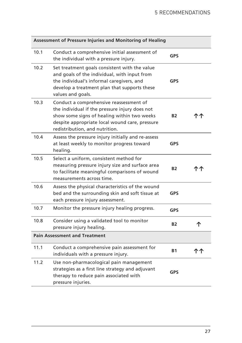|      | Assessment of Pressure Injuries and Monitoring of Healing                                                                                                                                                                    |            |     |
|------|------------------------------------------------------------------------------------------------------------------------------------------------------------------------------------------------------------------------------|------------|-----|
| 10.1 | Conduct a comprehensive initial assessment of<br>the individual with a pressure injury.                                                                                                                                      | <b>GPS</b> |     |
| 10.2 | Set treatment goals consistent with the value<br>and goals of the individual, with input from<br>the individual's informal caregivers, and<br>develop a treatment plan that supports these<br>values and goals.              | <b>GPS</b> |     |
| 10.3 | Conduct a comprehensive reassessment of<br>the individual if the pressure injury does not<br>show some signs of healing within two weeks<br>despite appropriate local wound care, pressure<br>redistribution, and nutrition. | B2         |     |
| 10.4 | Assess the pressure injury initially and re-assess<br>at least weekly to monitor progress toward<br>healing.                                                                                                                 | <b>GPS</b> |     |
| 10.5 | Select a uniform, consistent method for<br>measuring pressure injury size and surface area<br>to facilitate meaningful comparisons of wound<br>measurements across time.                                                     | B2         |     |
| 10.6 | Assess the physical characteristics of the wound<br>bed and the surrounding skin and soft tissue at<br>each pressure injury assessment.                                                                                      | <b>GPS</b> |     |
| 10.7 | Monitor the pressure injury healing progress.                                                                                                                                                                                | <b>GPS</b> |     |
| 10.8 | Consider using a validated tool to monitor<br>pressure injury healing.                                                                                                                                                       | B2         | 个   |
|      | <b>Pain Assessment and Treatment</b>                                                                                                                                                                                         |            |     |
| 11.1 | Conduct a comprehensive pain assessment for<br>individuals with a pressure injury.                                                                                                                                           | <b>B1</b>  | ጥ ጥ |
| 11.2 | Use non-pharmacological pain management<br>strategies as a first line strategy and adjuvant<br>therapy to reduce pain associated with<br>pressure injuries.                                                                  | <b>GPS</b> |     |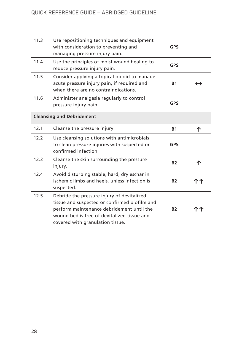| 11.3 | Use repositioning techniques and equipment<br>with consideration to preventing and<br>managing pressure injury pain.                                                                                                        | <b>GPS</b> |                   |
|------|-----------------------------------------------------------------------------------------------------------------------------------------------------------------------------------------------------------------------------|------------|-------------------|
| 11.4 | Use the principles of moist wound healing to<br>reduce pressure injury pain.                                                                                                                                                | <b>GPS</b> |                   |
| 11.5 | Consider applying a topical opioid to manage<br>acute pressure injury pain, if required and<br>when there are no contraindications.                                                                                         | <b>B1</b>  | $\leftrightarrow$ |
| 11.6 | Administer analgesia regularly to control<br>pressure injury pain.                                                                                                                                                          | <b>GPS</b> |                   |
|      | <b>Cleansing and Debridement</b>                                                                                                                                                                                            |            |                   |
| 12.1 | Cleanse the pressure injury.                                                                                                                                                                                                | <b>B1</b>  | 个                 |
| 12.2 | Use cleansing solutions with antimicrobials<br>to clean pressure injuries with suspected or<br>confirmed infection.                                                                                                         | <b>GPS</b> |                   |
| 12.3 | Cleanse the skin surrounding the pressure<br>injury.                                                                                                                                                                        | <b>B2</b>  | 个                 |
| 12.4 | Avoid disturbing stable, hard, dry eschar in<br>ischemic limbs and heels, unless infection is<br>suspected.                                                                                                                 | <b>B2</b>  |                   |
| 12.5 | Debride the pressure injury of devitalized<br>tissue and suspected or confirmed biofilm and<br>perform maintenance debridement until the<br>wound bed is free of devitalized tissue and<br>covered with granulation tissue. | <b>B2</b>  |                   |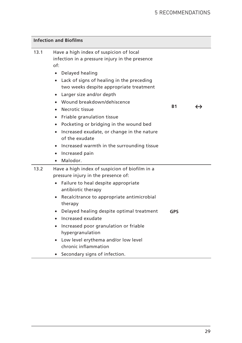| 13.1 | Have a high index of suspicion of local<br>infection in a pressure injury in the presence<br>of: |           |                   |
|------|--------------------------------------------------------------------------------------------------|-----------|-------------------|
|      | Delayed healing<br>$\bullet$                                                                     |           |                   |
|      | Lack of signs of healing in the preceding<br>$\bullet$                                           |           |                   |
|      | two weeks despite appropriate treatment                                                          |           |                   |
|      | Larger size and/or depth<br>٠                                                                    |           |                   |
|      | Wound breakdown/dehiscence                                                                       |           |                   |
|      | • Necrotic tissue                                                                                | <b>B1</b> | $\leftrightarrow$ |
|      | Friable granulation tissue<br>$\bullet$                                                          |           |                   |
|      | Pocketing or bridging in the wound bed<br>٠                                                      |           |                   |
|      | Increased exudate, or change in the nature<br>$\bullet$                                          |           |                   |
|      | of the exudate                                                                                   |           |                   |
|      | Increased warmth in the surrounding tissue<br>$\bullet$                                          |           |                   |
|      | Increased pain<br>٠                                                                              |           |                   |
|      | Malodor.                                                                                         |           |                   |
| 13.2 | Have a high index of suspicion of biofilm in a<br>pressure injury in the presence of:            |           |                   |
|      | Failure to heal despite appropriate<br>$\bullet$<br>antibiotic therapy                           |           |                   |
|      | • Recalcitrance to appropriate antimicrobial<br>therapy                                          |           |                   |
|      | Delayed healing despite optimal treatment<br>٠                                                   | GPS       |                   |
|      | Increased exudate                                                                                |           |                   |
|      | • Increased poor granulation or friable<br>hypergranulation                                      |           |                   |
|      | Low level erythema and/or low level<br>٠<br>chronic inflammation                                 |           |                   |
|      | Secondary signs of infection.<br>٠                                                               |           |                   |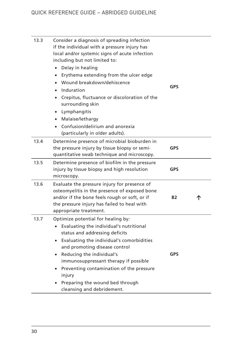| 13.3<br>13.4 | Consider a diagnosis of spreading infection<br>if the individual with a pressure injury has<br>local and/or systemic signs of acute infection<br>including but not limited to:<br>Delay in healing<br>$\bullet$<br>Erythema extending from the ulcer edge<br>Wound breakdown/dehiscence<br>Induration<br>Crepitus, fluctuance or discoloration of the<br>surrounding skin<br>Lymphangitis<br>Malaise/lethargy<br>Confusion/delirium and anorexia<br>(particularly in older adults).<br>Determine presence of microbial bioburden in | <b>GPS</b> |  |
|--------------|-------------------------------------------------------------------------------------------------------------------------------------------------------------------------------------------------------------------------------------------------------------------------------------------------------------------------------------------------------------------------------------------------------------------------------------------------------------------------------------------------------------------------------------|------------|--|
|              | the pressure injury by tissue biopsy or semi-<br>quantitative swab technique and microscopy.                                                                                                                                                                                                                                                                                                                                                                                                                                        | <b>GPS</b> |  |
| 13.5         | Determine presence of biofilm in the pressure<br>injury by tissue biopsy and high resolution<br>microscopy.                                                                                                                                                                                                                                                                                                                                                                                                                         | <b>GPS</b> |  |
| 13.6         | Evaluate the pressure injury for presence of<br>osteomyelitis in the presence of exposed bone<br>and/or if the bone feels rough or soft, or if<br>the pressure injury has failed to heal with<br>appropriate treatment.                                                                                                                                                                                                                                                                                                             | <b>B2</b>  |  |
| 13.7         | Optimize potential for healing by:<br>Evaluating the individual's nutritional<br>status and addressing deficits<br>• Evaluating the individual's comorbidities<br>and promoting disease control<br>• Reducing the individual's<br>immunosuppressant therapy if possible<br>• Preventing contamination of the pressure<br>injury<br>Preparing the wound bed through<br>cleansing and debridement.                                                                                                                                    | <b>GPS</b> |  |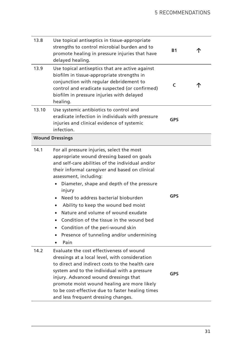| 13.8  | Use topical antiseptics in tissue-appropriate<br>strengths to control microbial burden and to<br>promote healing in pressure injuries that have<br>delayed healing.                                                                                                                                                                                                                                                                                                                                                                                                                                                  | <b>B1</b>  |  |
|-------|----------------------------------------------------------------------------------------------------------------------------------------------------------------------------------------------------------------------------------------------------------------------------------------------------------------------------------------------------------------------------------------------------------------------------------------------------------------------------------------------------------------------------------------------------------------------------------------------------------------------|------------|--|
| 13.9  | Use topical antiseptics that are active against<br>biofilm in tissue-appropriate strengths in<br>conjunction with regular debridement to<br>control and eradicate suspected (or confirmed)<br>biofilm in pressure injuries with delayed<br>healing.                                                                                                                                                                                                                                                                                                                                                                  | C          |  |
| 13.10 | Use systemic antibiotics to control and<br>eradicate infection in individuals with pressure<br>injuries and clinical evidence of systemic<br>infection.                                                                                                                                                                                                                                                                                                                                                                                                                                                              | <b>GPS</b> |  |
|       | <b>Wound Dressings</b>                                                                                                                                                                                                                                                                                                                                                                                                                                                                                                                                                                                               |            |  |
| 14.1  | For all pressure injuries, select the most<br>appropriate wound dressing based on goals<br>and self-care abilities of the individual and/or<br>their informal caregiver and based on clinical<br>assessment, including:<br>Diameter, shape and depth of the pressure<br>injury<br>Need to address bacterial bioburden<br>Ability to keep the wound bed moist<br>$\bullet$<br>Nature and volume of wound exudate<br>$\bullet$<br>Condition of the tissue in the wound bed<br>$\bullet$<br>Condition of the peri-wound skin<br>$\bullet$<br>Presence of tunneling and/or undermining<br>$\bullet$<br>Pain<br>$\bullet$ | <b>GPS</b> |  |
| 14.2  | Evaluate the cost effectiveness of wound<br>dressings at a local level, with consideration<br>to direct and indirect costs to the health care<br>system and to the individual with a pressure<br>injury. Advanced wound dressings that<br>promote moist wound healing are more likely<br>to be cost-effective due to faster healing times<br>and less frequent dressing changes.                                                                                                                                                                                                                                     | <b>GPS</b> |  |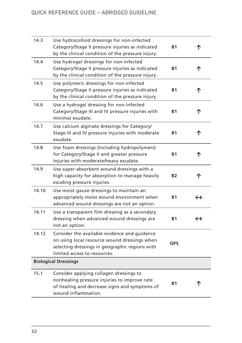| 14.3  | Use hydrocolloid dressings for non-infected<br>Category/Stage II pressure injuries as indicated<br>by the clinical condition of the pressure injury.                           | <b>B1</b>  | ጉ                 |
|-------|--------------------------------------------------------------------------------------------------------------------------------------------------------------------------------|------------|-------------------|
| 14.4  | Use hydrogel dressings for non-infected<br>Category/Stage II pressure injuries as indicated<br>by the clinical condition of the pressure injury.                               | <b>B1</b>  | 个                 |
| 14.5  | Use polymeric dressings for non-infected<br>Category/Stage II pressure injuries as indicated<br>by the clinical condition of the pressure injury.                              | Β1         | 个                 |
| 14.6  | Use a hydrogel dressing for non-infected<br>Category/Stage III and IV pressure injuries with<br>minimal exudate.                                                               | Β1         | 个                 |
| 14.7  | Use calcium alginate dressings for Category/<br>Stage III and IV pressure injuries with moderate<br>exudate.                                                                   | Β1         | 个                 |
| 14.8  | Use foam dressings (including hydropolymers)<br>for Category/Stage II and greater pressure<br>injuries with moderate/heavy exudate.                                            | В1         | 个                 |
| 14.9  | Use super-absorbent wound dressings with a<br>high capacity for absorption to manage heavily<br>exuding pressure injuries.                                                     | <b>B2</b>  | ጥ                 |
| 14.10 | Use moist gauze dressings to maintain an<br>appropriately moist wound environment when<br>advanced wound dressings are not an option.                                          | Β1         | $\leftrightarrow$ |
| 14.11 | Use a transparent film dressing as a secondary<br>dressing when advanced wound dressings are<br>not an option.                                                                 | <b>B1</b>  | $\leftrightarrow$ |
| 14.12 | Consider the available evidence and guidance<br>on using local resource wound dressings when<br>selecting dressings in geographic regions with<br>limited access to resources. | <b>GPS</b> |                   |
|       | <b>Biological Dressings</b>                                                                                                                                                    |            |                   |
| 15.1  | Consider applying collagen dressings to<br>nonhealing pressure injuries to improve rate<br>of healing and decrease signs and symptoms of<br>wound inflammation.                | <b>B1</b>  | ጥ                 |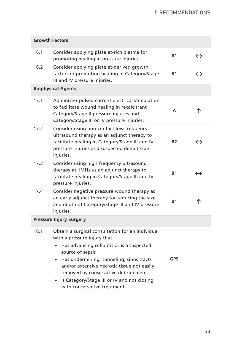| <b>Growth Factors</b> |                                                                                                                                                                                                                                                                                                                                                                                  |            |                   |
|-----------------------|----------------------------------------------------------------------------------------------------------------------------------------------------------------------------------------------------------------------------------------------------------------------------------------------------------------------------------------------------------------------------------|------------|-------------------|
| 16.1                  | Consider applying platelet-rich plasma for<br>promoting healing in pressure injuries.                                                                                                                                                                                                                                                                                            | <b>B1</b>  | $\leftrightarrow$ |
| 16.2                  | Consider applying platelet-derived growth<br>factor for promoting healing in Category/Stage<br>III and IV pressure injuries.                                                                                                                                                                                                                                                     | <b>B1</b>  | $\leftrightarrow$ |
|                       | <b>Biophysical Agents</b>                                                                                                                                                                                                                                                                                                                                                        |            |                   |
| 17.1                  | Administer pulsed current electrical stimulation<br>to facilitate wound healing in recalcitrant<br>Category/Stage II pressure injuries and<br>Category/Stage III or IV pressure injuries.                                                                                                                                                                                        | A          |                   |
| 17.2                  | Consider using non-contact low frequency<br>ultrasound therapy as an adjunct therapy to<br>facilitate healing in Category/Stage III and IV<br>pressure injuries and suspected deep tissue<br>injuries.                                                                                                                                                                           | <b>B2</b>  | ↔                 |
| 17.3                  | Consider using high frequency ultrasound<br>therapy at 1MHz as an adjunct therapy to<br>facilitate healing in Category/Stage III and IV<br>pressure injuries.                                                                                                                                                                                                                    | <b>B1</b>  | $\leftrightarrow$ |
| 17.4                  | Consider negative pressure wound therapy as<br>an early adjunct therapy for reducing the size<br>and depth of Category/Stage III and IV pressure<br>injuries.                                                                                                                                                                                                                    | <b>B1</b>  |                   |
|                       | <b>Pressure Injury Surgery</b>                                                                                                                                                                                                                                                                                                                                                   |            |                   |
| 18.1                  | Obtain a surgical consultation for an individual<br>with a pressure injury that:<br>Has advancing cellulitis or is a suspected<br>source of sepsis<br>Has undermining, tunneling, sinus tracts<br>$\bullet$<br>and/or extensive necrotic tissue not easily<br>removed by conservative debridement<br>Is Category/Stage III or IV and not closing<br>with conservative treatment. | <b>GPS</b> |                   |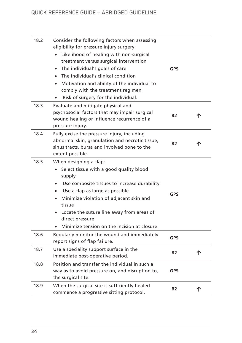| 18.2 | Consider the following factors when assessing<br>eligibility for pressure injury surgery:<br>Likelihood of healing with non-surgical<br>treatment versus surgical intervention<br>The individual's goals of care<br>The individual's clinical condition<br>Motivation and ability of the individual to<br>$\bullet$<br>comply with the treatment regimen<br>Risk of surgery for the individual. | <b>GPS</b> |   |
|------|-------------------------------------------------------------------------------------------------------------------------------------------------------------------------------------------------------------------------------------------------------------------------------------------------------------------------------------------------------------------------------------------------|------------|---|
| 18.3 | Evaluate and mitigate physical and<br>psychosocial factors that may impair surgical<br>wound healing or influence recurrence of a<br>pressure injury.                                                                                                                                                                                                                                           | <b>B2</b>  |   |
| 18.4 | Fully excise the pressure injury, including<br>abnormal skin, granulation and necrotic tissue,<br>sinus tracts, bursa and involved bone to the<br>extent possible.                                                                                                                                                                                                                              | <b>B2</b>  |   |
| 18.5 | When designing a flap:<br>Select tissue with a good quality blood<br>supply<br>Use composite tissues to increase durability<br>Use a flap as large as possible<br>Minimize violation of adjacent skin and<br>tissue<br>Locate the suture line away from areas of<br>direct pressure<br>Minimize tension on the incision at closure.                                                             | <b>GPS</b> |   |
| 18.6 | Regularly monitor the wound and immediately<br>report signs of flap failure.                                                                                                                                                                                                                                                                                                                    | <b>GPS</b> |   |
| 18.7 | Use a speciality support surface in the<br>immediate post-operative period.                                                                                                                                                                                                                                                                                                                     | <b>B2</b>  | 个 |
| 18.8 | Position and transfer the individual in such a<br>way as to avoid pressure on, and disruption to,<br>the surgical site.                                                                                                                                                                                                                                                                         | <b>GPS</b> |   |
| 18.9 | When the surgical site is sufficiently healed                                                                                                                                                                                                                                                                                                                                                   | B2         | ጥ |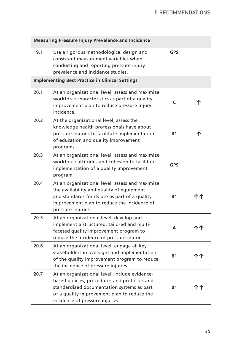| Measuring Pressure Injury Prevalence and Incidence |                                                                                                                                                                                                                               |            |  |
|----------------------------------------------------|-------------------------------------------------------------------------------------------------------------------------------------------------------------------------------------------------------------------------------|------------|--|
| 19.1                                               | Use a rigorous methodological design and<br>consistent measurement variables when<br>conducting and reporting pressure injury<br>prevalence and incidence studies.                                                            | <b>GPS</b> |  |
|                                                    | <b>Implementing Best Practice in Clinical Settings</b>                                                                                                                                                                        |            |  |
| 20.1                                               | At an organizational level, assess and maximize<br>workforce characteristics as part of a quality<br>improvement plan to reduce pressure injury<br>incidence.                                                                 | C          |  |
| 20.2                                               | At the organizational level, assess the<br>knowledge health professionals have about<br>pressure injuries to facilitate implementation<br>of education and quality improvement<br>programs.                                   | <b>B1</b>  |  |
| 20.3                                               | At an organizational level, assess and maximize<br>workforce attitudes and cohesion to facilitate<br>implementation of a quality improvement<br>program.                                                                      | <b>GPS</b> |  |
| 20.4                                               | At an organizational level, assess and maximize<br>the availability and quality of equipment<br>and standards for its use as part of a quality<br>improvement plan to reduce the incidence of<br>pressure injuries.           | <b>B1</b>  |  |
| 20.5                                               | At an organizational level, develop and<br>implement a structured, tailored and multi-<br>faceted quality improvement program to<br>reduce the incidence of pressure injuries.                                                | A          |  |
| 20.6                                               | At an organizational level, engage all key<br>stakeholders in oversight and implementation<br>of the quality improvement program to reduce<br>the incidence of pressure injuries.                                             | <b>B1</b>  |  |
| 20.7                                               | At an organizational level, include evidence-<br>based policies, procedures and protocols and<br>standardized documentation systems as part<br>of a quality improvement plan to reduce the<br>incidence of pressure injuries. | <b>B1</b>  |  |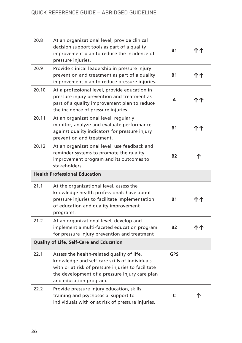| 20.8  | At an organizational level, provide clinical<br>decision support tools as part of a quality<br>improvement plan to reduce the incidence of<br>pressure injuries.                                                              | <b>B1</b>  | ጥ ጥ |
|-------|-------------------------------------------------------------------------------------------------------------------------------------------------------------------------------------------------------------------------------|------------|-----|
| 20.9  | Provide clinical leadership in pressure injury<br>prevention and treatment as part of a quality<br>improvement plan to reduce pressure injuries.                                                                              | <b>B1</b>  | ጉ ጥ |
| 20.10 | At a professional level, provide education in<br>pressure injury prevention and treatment as<br>part of a quality improvement plan to reduce<br>the incidence of pressure injuries.                                           | А          |     |
| 20.11 | At an organizational level, regularly<br>monitor, analyze and evaluate performance<br>against quality indicators for pressure injury<br>prevention and treatment.                                                             | <b>B1</b>  | ቦ ፐ |
| 20.12 | At an organizational level, use feedback and<br>reminder systems to promote the quality<br>improvement program and its outcomes to<br>stakeholders.                                                                           | <b>B2</b>  |     |
|       | <b>Health Professional Education</b>                                                                                                                                                                                          |            |     |
| 21.1  | At the organizational level, assess the<br>knowledge health professionals have about<br>pressure injuries to facilitate implementation<br>of education and quality improvement<br>programs.                                   | <b>B1</b>  | ጥ ጥ |
| 21.2  | At an organizational level, develop and<br>implement a multi-faceted education program<br>for pressure injury prevention and treatment                                                                                        | <b>B2</b>  | ጥ ጥ |
|       | Quality of Life, Self-Care and Education                                                                                                                                                                                      |            |     |
| 22.1  | Assess the health-related quality of life,<br>knowledge and self-care skills of individuals<br>with or at risk of pressure injuries to facilitate<br>the development of a pressure injury care plan<br>and education program. | <b>GPS</b> |     |
| 22.2  | Provide pressure injury education, skills<br>training and psychosocial support to<br>individuals with or at risk of pressure injuries.                                                                                        | C          | ጉ   |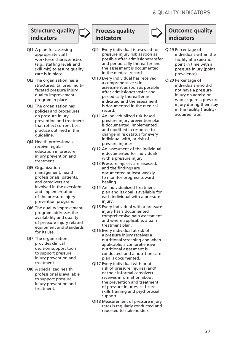#### **Structure quality indicators**

- QI1 A plan for assessing appropriate staff workforce characteristics (e.g., staffing levels and skill mix) to assure quality care is in place.
- QI2 The organization has a structured, tailored multifaceted pressure injury quality improvement program in place.
- QI3 The organization has policies and procedures on pressure injury prevention and treatment that reflect current best practice outlined in this guideline.
- QI4 Health professionals receive regular education in pressure injury prevention and treatment.
- QI5 Organization management, health professionals, patients, and caregivers are involved in the oversight and implementation of the pressure injury prevention program.
- QI6 The quality improvement program addresses the availability and quality of pressure injury related equipment and standards for its use.
- QI7 The organization provides clinical decision support tools to support pressure injury prevention and treatment.
- QI8 A specialized health professional is available to support pressure injury prevention and treatment.

### **Process quality indicators**

- QI9 Every individual is assessed for pressure injury risk as soon as possible after admission/transfer and periodically thereafter and the assessment is documented
- in the medical record. QI10 Every individual has received a comprehensive skin assessment as soon as possible after admission/transfer and periodically thereafter as indicated and the assessment is documented in the medical record.
- QI11 An individualized risk-based pressure injury prevention plan is documented, implemented and modified in response to change in risk status for every individual with, or risk of pressure injuries.
- QI12 An assessment of the individual is documented for individuals with a pressure injury.
- QI13 Pressure injuries are assessed, and the findings are documented at least weekly to monitor progress toward healing.
- QI14 An individualized treatment plan and its goal is available for each individual with a pressure injury.
- QI15 Every individual with a pressure injury has a documented comprehensive pain assessment and where applicable, a pain treatment plan.
- QI16 Every individual at risk of a pressure injury receives a nutritional screening and when applicable, a comprehensive nutritional assessment is conducted, and a nutrition care plan is documented.
- QI17 Every individual with or at risk of pressure injuries (and/ or their informal caregiver) receives information about the prevention and treatment of pressure injuries, self-care skills training and psychosocial support.
- QI18 Measurement of pressure injury rates is regularly conducted and reported to stakeholders.

#### **Outcome quality indicators**

- QI19 Percentage of individuals within the facility at a specific point in time with a pressure injury (point prevalence).
- QI20 Percentage of individuals who did not have a pressure injury on admission who acquire a pressure injury during their stay in the facility (facilityacquired rate).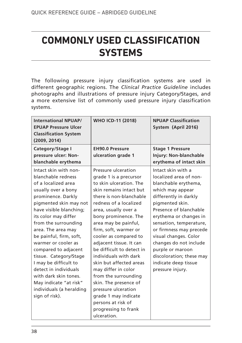# **COMMONLY USED CLASSIFICATION SYSTEMS**

The following pressure injury classification systems are used in different geographic regions. The *Clinical Practice Guideline* includes photographs and illustrations of pressure injury Category/Stages, and a more extensive list of commonly used pressure injury classification systems.

| <b>International NPUAP/</b><br><b>EPUAP Pressure Ulcer</b><br><b>Classification System</b><br>(2009, 2014)                                                                                                                                                                                                                                                                                                                                                                                        | <b>WHO ICD-11 (2018)</b>                                                                                                                                                                                                                                                                                                                                                                                                                                                                                                                                                           | <b>NPUAP Classification</b><br>System (April 2016)                                                                                                                                                                                                                                                                                                                                            |
|---------------------------------------------------------------------------------------------------------------------------------------------------------------------------------------------------------------------------------------------------------------------------------------------------------------------------------------------------------------------------------------------------------------------------------------------------------------------------------------------------|------------------------------------------------------------------------------------------------------------------------------------------------------------------------------------------------------------------------------------------------------------------------------------------------------------------------------------------------------------------------------------------------------------------------------------------------------------------------------------------------------------------------------------------------------------------------------------|-----------------------------------------------------------------------------------------------------------------------------------------------------------------------------------------------------------------------------------------------------------------------------------------------------------------------------------------------------------------------------------------------|
| Category/Stage I                                                                                                                                                                                                                                                                                                                                                                                                                                                                                  | <b>EH90.0 Pressure</b>                                                                                                                                                                                                                                                                                                                                                                                                                                                                                                                                                             | <b>Stage 1 Pressure</b>                                                                                                                                                                                                                                                                                                                                                                       |
| pressure ulcer: Non-<br>blanchable erythema                                                                                                                                                                                                                                                                                                                                                                                                                                                       | ulceration grade 1                                                                                                                                                                                                                                                                                                                                                                                                                                                                                                                                                                 | Injury: Non-blanchable<br>erythema of intact skin                                                                                                                                                                                                                                                                                                                                             |
| Intact skin with non-<br>blanchable redness<br>of a localized area<br>usually over a bony<br>prominence. Darkly<br>pigmented skin may not<br>have visible blanching;<br>its color may differ<br>from the surrounding<br>area. The area may<br>be painful, firm, soft,<br>warmer or cooler as<br>compared to adjacent<br>tissue. Category/Stage<br>I may be difficult to<br>detect in individuals<br>with dark skin tones.<br>May indicate "at risk"<br>individuals (a heralding<br>sign of risk). | Pressure ulceration<br>grade 1 is a precursor<br>to skin ulceration. The<br>skin remains intact but<br>there is non-blanchable<br>redness of a localized<br>area, usually over a<br>bony prominence. The<br>area may be painful,<br>firm, soft, warmer or<br>cooler as compared to<br>adjacent tissue. It can<br>be difficult to detect in<br>individuals with dark<br>skin but affected areas<br>may differ in color<br>from the surrounding<br>skin. The presence of<br>pressure ulceration<br>grade 1 may indicate<br>persons at risk of<br>progressing to frank<br>ulceration. | Intact skin with a<br>localized area of non-<br>blanchable erythema,<br>which may appear<br>differently in darkly<br>pigmented skin.<br>Presence of blanchable<br>erythema or changes in<br>sensation, temperature,<br>or firmness may precede<br>visual changes. Color<br>changes do not include<br>purple or maroon<br>discoloration; these may<br>indicate deep tissue<br>pressure injury. |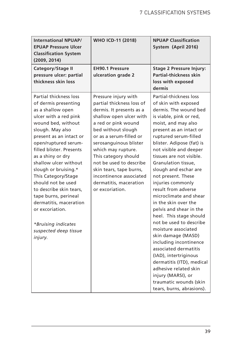| <b>International NPUAP/</b><br><b>EPUAP Pressure Ulcer</b><br><b>Classification System</b><br>(2009, 2014)                                                                                                                                                                                                                                                                                                                                                                                          | <b>WHO ICD-11 (2018)</b>                                                                                                                                                                                                                                                                                                                                                               | <b>NPUAP Classification</b><br>System (April 2016)                                                                                                                                                                                                                                                                                                                                                                                                                                                                                                                                                                                                                                                                                                                                |
|-----------------------------------------------------------------------------------------------------------------------------------------------------------------------------------------------------------------------------------------------------------------------------------------------------------------------------------------------------------------------------------------------------------------------------------------------------------------------------------------------------|----------------------------------------------------------------------------------------------------------------------------------------------------------------------------------------------------------------------------------------------------------------------------------------------------------------------------------------------------------------------------------------|-----------------------------------------------------------------------------------------------------------------------------------------------------------------------------------------------------------------------------------------------------------------------------------------------------------------------------------------------------------------------------------------------------------------------------------------------------------------------------------------------------------------------------------------------------------------------------------------------------------------------------------------------------------------------------------------------------------------------------------------------------------------------------------|
| <b>Category/Stage II</b><br>pressure ulcer: partial<br>thickness skin loss                                                                                                                                                                                                                                                                                                                                                                                                                          | <b>EH90.1 Pressure</b><br>ulceration grade 2                                                                                                                                                                                                                                                                                                                                           | <b>Stage 2 Pressure Injury:</b><br>Partial-thickness skin<br>loss with exposed<br>dermis                                                                                                                                                                                                                                                                                                                                                                                                                                                                                                                                                                                                                                                                                          |
| Partial thickness loss<br>of dermis presenting<br>as a shallow open<br>ulcer with a red pink<br>wound bed, without<br>slough. May also<br>present as an intact or<br>open/ruptured serum-<br>filled blister. Presents<br>as a shiny or dry<br>shallow ulcer without<br>slough or bruising.*<br>This Category/Stage<br>should not be used<br>to describe skin tears.<br>tape burns, perineal<br>dermatitis, maceration<br>or excoriation.<br>*Bruising indicates<br>suspected deep tissue<br>injury. | Pressure injury with<br>partial thickness loss of<br>dermis. It presents as a<br>shallow open ulcer with<br>a red or pink wound<br>bed without slough<br>or as a serum-filled or<br>serosanguinous blister<br>which may rupture.<br>This category should<br>not be used to describe<br>skin tears, tape burns,<br>incontinence associated<br>dermatitis, maceration<br>or excoriation. | Partial-thickness loss<br>of skin with exposed<br>dermis. The wound bed<br>is viable, pink or red,<br>moist, and may also<br>present as an intact or<br>ruptured serum-filled<br>blister. Adipose (fat) is<br>not visible and deeper<br>tissues are not visible.<br>Granulation tissue.<br>slough and eschar are<br>not present. These<br>injuries commonly<br>result from adverse<br>microclimate and shear<br>in the skin over the<br>pelvis and shear in the<br>heel. This stage should<br>not be used to describe<br>moisture associated<br>skin damage (MASD)<br>including incontinence<br>associated dermatitis<br>(IAD), intertriginous<br>dermatitis (ITD), medical<br>adhesive related skin<br>injury (MARSI), or<br>traumatic wounds (skin<br>tears, burns, abrasions). |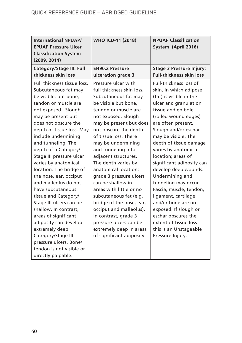| <b>International NPUAP/</b><br><b>EPUAP Pressure Ulcer</b><br><b>Classification System</b><br>(2009, 2014) | <b>WHO ICD-11 (2018)</b>  | <b>NPUAP Classification</b><br>System (April 2016) |
|------------------------------------------------------------------------------------------------------------|---------------------------|----------------------------------------------------|
| Category/Stage III: Full                                                                                   | <b>EH90.2 Pressure</b>    | <b>Stage 3 Pressure Injury:</b>                    |
| thickness skin loss                                                                                        | ulceration grade 3        | <b>Full-thickness skin loss</b>                    |
| Full thickness tissue loss.                                                                                | Pressure ulcer with       | Full-thickness loss of                             |
| Subcutaneous fat may                                                                                       | full thickness skin loss. | skin, in which adipose                             |
| be visible, but bone,                                                                                      | Subcutaneous fat may      | (fat) is visible in the                            |
| tendon or muscle are                                                                                       | be visible but bone,      | ulcer and granulation                              |
| not exposed. Slough                                                                                        | tendon or muscle are      | tissue and epibole                                 |
| may be present but                                                                                         | not exposed. Slough       | (rolled wound edges)                               |
| does not obscure the                                                                                       | may be present but does   | are often present.                                 |
| depth of tissue loss. May                                                                                  | not obscure the depth     | Slough and/or eschar                               |
| include undermining                                                                                        | of tissue loss. There     | may be visible. The                                |
| and tunneling. The                                                                                         | may be undermining        | depth of tissue damage                             |
| depth of a Category/                                                                                       | and tunneling into        | varies by anatomical                               |
| Stage III pressure ulcer                                                                                   | adjacent structures.      | location: areas of                                 |
| varies by anatomical                                                                                       | The depth varies by       | significant adiposity can                          |
| location. The bridge of                                                                                    | anatomical location:      | develop deep wounds.                               |
| the nose, ear, occiput                                                                                     | grade 3 pressure ulcers   | Undermining and                                    |
| and malleolus do not                                                                                       | can be shallow in         | tunneling may occur.                               |
| have subcutaneous                                                                                          | areas with little or no   | Fascia, muscle, tendon,                            |
| tissue and Category/                                                                                       | subcutaneous fat (e.g.    | ligament, cartilage                                |
| Stage III ulcers can be                                                                                    | bridge of the nose, ear,  | and/or bone are not                                |
| shallow. In contrast,                                                                                      | occiput and malleolus).   | exposed. If slough or                              |
| areas of significant                                                                                       | In contrast, grade 3      | eschar obscures the                                |
| adiposity can develop                                                                                      | pressure ulcers can be    | extent of tissue loss                              |
| extremely deep                                                                                             | extremely deep in areas   | this is an Unstageable                             |
| Category/Stage III                                                                                         | of significant adiposity. | Pressure Injury.                                   |
| pressure ulcers. Bone/                                                                                     |                           |                                                    |
| tendon is not visible or                                                                                   |                           |                                                    |
| directly palpable.                                                                                         |                           |                                                    |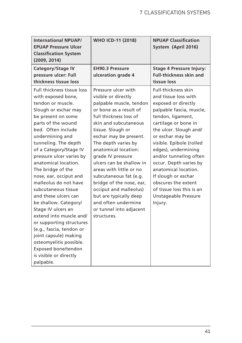| <b>International NPUAP/</b><br><b>EPUAP Pressure Ulcer</b><br><b>Classification System</b><br>(2009, 2014)                                                                                                                                                                                                                                                                                                                                                                                                                                                                                                                                                          | <b>WHO ICD-11 (2018)</b>                                                                                                                                                                                                                                                                                                                                                                                                                                                                                | <b>NPUAP Classification</b><br>System (April 2016)                                                                                                                                                                                                                                                                                                                                                                                            |
|---------------------------------------------------------------------------------------------------------------------------------------------------------------------------------------------------------------------------------------------------------------------------------------------------------------------------------------------------------------------------------------------------------------------------------------------------------------------------------------------------------------------------------------------------------------------------------------------------------------------------------------------------------------------|---------------------------------------------------------------------------------------------------------------------------------------------------------------------------------------------------------------------------------------------------------------------------------------------------------------------------------------------------------------------------------------------------------------------------------------------------------------------------------------------------------|-----------------------------------------------------------------------------------------------------------------------------------------------------------------------------------------------------------------------------------------------------------------------------------------------------------------------------------------------------------------------------------------------------------------------------------------------|
| Category/Stage IV<br>pressure ulcer: Full<br>thickness tissue loss                                                                                                                                                                                                                                                                                                                                                                                                                                                                                                                                                                                                  | <b>EH90.3 Pressure</b><br>ulceration grade 4                                                                                                                                                                                                                                                                                                                                                                                                                                                            | <b>Stage 4 Pressure Injury:</b><br><b>Full-thickness skin and</b><br>tissue loss                                                                                                                                                                                                                                                                                                                                                              |
| Full thickness tissue loss<br>with exposed bone,<br>tendon or muscle.<br>Slough or eschar may<br>be present on some<br>parts of the wound<br>bed. Often include<br>undermining and<br>tunneling. The depth<br>of a Category/Stage IV<br>pressure ulcer varies by<br>anatomical location.<br>The bridge of the<br>nose, ear, occiput and<br>malleolus do not have<br>subcutaneous tissue<br>and these ulcers can<br>be shallow. Category/<br>Stage IV ulcers an<br>extend into muscle and/<br>or supporting structures<br>(e.g., fascia, tendon or<br>joint capsule) making<br>osteomyelitis possible.<br>Exposed bone/tendon<br>is visible or directly<br>palpable. | Pressure ulcer with<br>visible or directly<br>palpable muscle, tendon<br>or bone as a result of<br>full thickness loss of<br>skin and subcutaneous<br>tissue. Slough or<br>eschar may be present.<br>The depth varies by<br>anatomical location:<br>grade IV pressure<br>ulcers can be shallow in<br>areas with little or no<br>subcutaneous fat (e.g.<br>bridge of the nose, ear,<br>occiput and malleolus)<br>but are typically deep<br>and often undermine<br>or tunnel into adjacent<br>structures. | <b>Full-thickness skin</b><br>and tissue loss with<br>exposed or directly<br>palpable fascia, muscle,<br>tendon, ligament,<br>cartilage or bone in<br>the ulcer. Slough and/<br>or eschar may be<br>visible. Epibole (rolled<br>edges), undermining<br>and/or tunneling often<br>occur. Depth varies by<br>anatomical location.<br>If slough or eschar<br>obscures the extent<br>of tissue loss this is an<br>Unstageable Pressure<br>Injury. |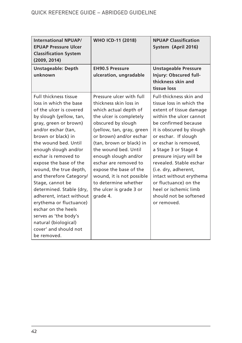| <b>International NPUAP/</b><br><b>EPUAP Pressure Ulcer</b><br><b>Classification System</b><br>(2009, 2014)                                                                                                                                                                                                                                                                                                                                                                                                                                                       | <b>WHO ICD-11 (2018)</b>                                                                                                                                                                                                                                                                                                                                                                                        | <b>NPUAP Classification</b><br>System (April 2016)                                                                                                                                                                                                                                                                                                                                                                                         |
|------------------------------------------------------------------------------------------------------------------------------------------------------------------------------------------------------------------------------------------------------------------------------------------------------------------------------------------------------------------------------------------------------------------------------------------------------------------------------------------------------------------------------------------------------------------|-----------------------------------------------------------------------------------------------------------------------------------------------------------------------------------------------------------------------------------------------------------------------------------------------------------------------------------------------------------------------------------------------------------------|--------------------------------------------------------------------------------------------------------------------------------------------------------------------------------------------------------------------------------------------------------------------------------------------------------------------------------------------------------------------------------------------------------------------------------------------|
| <b>Unstageable: Depth</b><br>unknown                                                                                                                                                                                                                                                                                                                                                                                                                                                                                                                             | <b>EH90.5 Pressure</b><br>ulceration, ungradable                                                                                                                                                                                                                                                                                                                                                                | <b>Unstageable Pressure</b><br>Injury: Obscured full-<br>thickness skin and<br>tissue loss                                                                                                                                                                                                                                                                                                                                                 |
| <b>Full thickness tissue</b><br>loss in which the base<br>of the ulcer is covered<br>by slough (yellow, tan,<br>gray, green or brown)<br>and/or eschar (tan,<br>brown or black) in<br>the wound bed. Until<br>enough slough and/or<br>eschar is removed to<br>expose the base of the<br>wound, the true depth,<br>and therefore Category/<br>Stage, cannot be<br>determined. Stable (dry,<br>adherent, intact without<br>erythema or fluctuance)<br>eschar on the heels<br>serves as 'the body's<br>natural (biological)<br>cover' and should not<br>be removed. | Pressure ulcer with full<br>thickness skin loss in<br>which actual depth of<br>the ulcer is completely<br>obscured by slough<br>(yellow, tan, gray, green<br>or brown) and/or eschar<br>(tan, brown or black) in<br>the wound bed. Until<br>enough slough and/or<br>eschar are removed to<br>expose the base of the<br>wound, it is not possible<br>to determine whether<br>the ulcer is grade 3 or<br>grade 4. | Full-thickness skin and<br>tissue loss in which the<br>extent of tissue damage<br>within the ulcer cannot<br>be confirmed because<br>it is obscured by slough<br>or eschar. If slough<br>or eschar is removed,<br>a Stage 3 or Stage 4<br>pressure injury will be<br>revealed. Stable eschar<br>(i.e. dry, adherent,<br>intact without erythema<br>or fluctuance) on the<br>heel or ischemic limb<br>should not be softened<br>or removed. |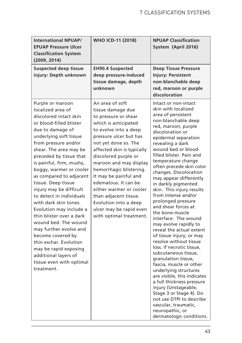| <b>International NPUAP/</b><br><b>EPUAP Pressure Ulcer</b><br><b>Classification System</b><br>(2009, 2014)                                                                                                                                                                                                                                                                                                                                                                                                                                                                                                                                                        | <b>WHO ICD-11 (2018)</b>                                                                                                                                                                                                                                                                                                                                                                                                                                       | <b>NPUAP Classification</b><br>System (April 2016)                                                                                                                                                                                                                                                                                                                                                                                                                                                                                                                                                                                                                                                                                                                                                                                                                                                                                                                       |
|-------------------------------------------------------------------------------------------------------------------------------------------------------------------------------------------------------------------------------------------------------------------------------------------------------------------------------------------------------------------------------------------------------------------------------------------------------------------------------------------------------------------------------------------------------------------------------------------------------------------------------------------------------------------|----------------------------------------------------------------------------------------------------------------------------------------------------------------------------------------------------------------------------------------------------------------------------------------------------------------------------------------------------------------------------------------------------------------------------------------------------------------|--------------------------------------------------------------------------------------------------------------------------------------------------------------------------------------------------------------------------------------------------------------------------------------------------------------------------------------------------------------------------------------------------------------------------------------------------------------------------------------------------------------------------------------------------------------------------------------------------------------------------------------------------------------------------------------------------------------------------------------------------------------------------------------------------------------------------------------------------------------------------------------------------------------------------------------------------------------------------|
| <b>Suspected deep tissue</b><br>injury: Depth unknown                                                                                                                                                                                                                                                                                                                                                                                                                                                                                                                                                                                                             | <b>EH90.4 Suspected</b><br>deep pressure-induced<br>tissue damage, depth<br>unknown                                                                                                                                                                                                                                                                                                                                                                            | <b>Deep Tissue Pressure</b><br><b>Injury: Persistent</b><br>non-blanchable deep<br>red, maroon or purple<br>discoloration                                                                                                                                                                                                                                                                                                                                                                                                                                                                                                                                                                                                                                                                                                                                                                                                                                                |
| Purple or maroon<br>localized area of<br>discolored intact skin<br>or blood-filled blister<br>due to damage of<br>underlying soft tissue<br>from pressure and/or<br>shear. The area may be<br>preceded by tissue that<br>is painful, firm, mushy,<br>boggy, warmer or cooler<br>as compared to adjacent<br>tissue. Deep tissue<br>injury may be difficult<br>to detect in individuals<br>with dark skin tones.<br>Evolution may include a<br>thin blister over a dark<br>wound bed. The wound<br>may further evolve and<br>become covered by<br>thin eschar. Evolution<br>may be rapid exposing<br>additional layers of<br>tissue even with optimal<br>treatment. | An area of soft<br>tissue damage due<br>to pressure or shear<br>which is anticipated<br>to evolve into a deep<br>pressure ulcer but has<br>not yet done so. The<br>affected skin is typically<br>discolored purple or<br>maroon and may display<br>hemorrhagic blistering.<br>It may be painful and<br>edematous. It can be<br>either warmer or cooler<br>than adjacent tissue.<br>Evolution into a deep<br>ulcer may be rapid even<br>with optimal treatment. | Intact or non-intact<br>skin with localized<br>area of persistent<br>non-blanchable deep<br>red, maroon, purple<br>discoloration or<br>epidermal separation<br>revealing a dark<br>wound bed or blood-<br>filled blister. Pain and<br>temperature change<br>often precede skin color<br>changes. Discoloration<br>may appear differently<br>in darkly pigmented<br>skin. This injury results<br>from intense and/or<br>prolonged pressure<br>and shear forces at<br>the bone-muscle<br>interface. The wound<br>may evolve rapidly to<br>reveal the actual extent<br>of tissue injury, or may<br>resolve without tissue<br>loss. If necrotic tissue,<br>subcutaneous tissue,<br>granulation tissue,<br>fascia, muscle or other<br>underlying structures<br>are visible, this indicates<br>a full thickness pressure<br>injury (Unstageable,<br>Stage 3 or Stage 4). Do<br>not use DTPI to describe<br>vascular, traumatic,<br>neuropathic, or<br>dermatologic conditions. |